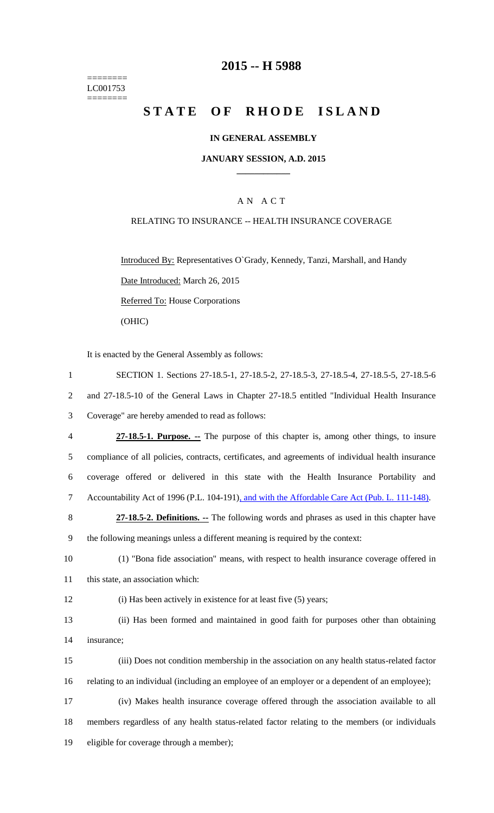======== LC001753  $=$ 

# **2015 -- H 5988**

# STATE OF RHODE ISLAND

# **IN GENERAL ASSEMBLY**

#### **JANUARY SESSION, A.D. 2015 \_\_\_\_\_\_\_\_\_\_\_\_**

# A N A C T

### RELATING TO INSURANCE -- HEALTH INSURANCE COVERAGE

Introduced By: Representatives O`Grady, Kennedy, Tanzi, Marshall, and Handy Date Introduced: March 26, 2015 Referred To: House Corporations (OHIC)

It is enacted by the General Assembly as follows:

| $\mathbf{1}$   | SECTION 1. Sections 27-18.5-1, 27-18.5-2, 27-18.5-3, 27-18.5-4, 27-18.5-5, 27-18.5-6               |
|----------------|----------------------------------------------------------------------------------------------------|
| $\overline{2}$ | and 27-18.5-10 of the General Laws in Chapter 27-18.5 entitled "Individual Health Insurance        |
| 3              | Coverage" are hereby amended to read as follows:                                                   |
| $\overline{4}$ | 27-18.5-1. Purpose. -- The purpose of this chapter is, among other things, to insure               |
| 5              | compliance of all policies, contracts, certificates, and agreements of individual health insurance |
| 6              | coverage offered or delivered in this state with the Health Insurance Portability and              |
| $\overline{7}$ | Accountability Act of 1996 (P.L. 104-191), and with the Affordable Care Act (Pub. L. 111-148).     |
| 8              | 27-18.5-2. Definitions. -- The following words and phrases as used in this chapter have            |
| 9              | the following meanings unless a different meaning is required by the context:                      |
| 10             | (1) "Bona fide association" means, with respect to health insurance coverage offered in            |
| 11             | this state, an association which:                                                                  |
| 12             | (i) Has been actively in existence for at least five (5) years;                                    |
| 13             | (ii) Has been formed and maintained in good faith for purposes other than obtaining                |
| 14             | insurance;                                                                                         |
| 15             | (iii) Does not condition membership in the association on any health status-related factor         |
| 16             | relating to an individual (including an employee of an employer or a dependent of an employee);    |
| 17             | (iv) Makes health insurance coverage offered through the association available to all              |
| 18             | members regardless of any health status-related factor relating to the members (or individuals     |
| 19             | eligible for coverage through a member);                                                           |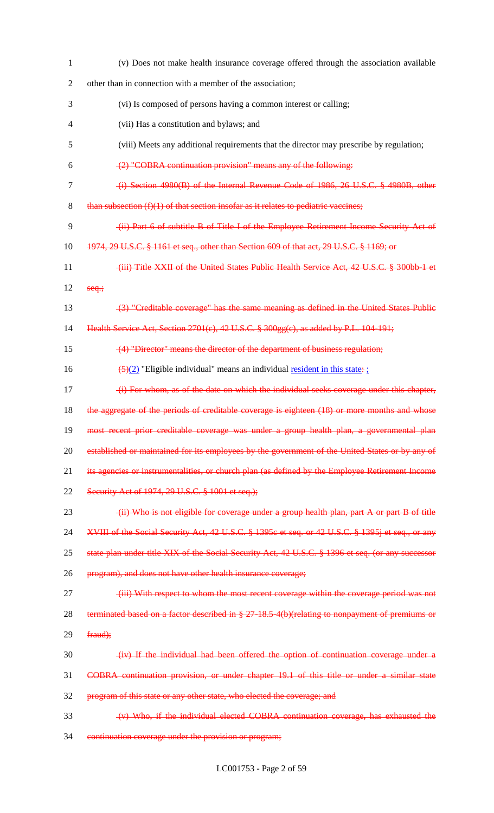| $\mathbf{1}$   | (v) Does not make health insurance coverage offered through the association available             |
|----------------|---------------------------------------------------------------------------------------------------|
| $\overline{2}$ | other than in connection with a member of the association;                                        |
| 3              | (vi) Is composed of persons having a common interest or calling;                                  |
| 4              | (vii) Has a constitution and bylaws; and                                                          |
| 5              | (viii) Meets any additional requirements that the director may prescribe by regulation;           |
| 6              | (2) "COBRA continuation provision" means any of the following:                                    |
| $\tau$         | (i) Section 4980(B) of the Internal Revenue Code of 1986, 26 U.S.C. § 4980B, other                |
| 8              | than subsection $(f)(1)$ of that section insofar as it relates to pediatric vaccines;             |
| 9              | (ii) Part 6 of subtitle B of Title I of the Employee Retirement Income Security Act of            |
| 10             | 1974, 29 U.S.C. § 1161 et seq., other than Section 609 of that act, 29 U.S.C. § 1169; or          |
| 11             | (iii) Title XXII of the United States Public Health Service Act, 42 U.S.C. § 300bb 1 et           |
| 12             | $seq$ ;                                                                                           |
| 13             | (3) "Creditable coverage" has the same meaning as defined in the United States Public             |
| 14             | Health Service Act, Section 2701(c), 42 U.S.C. § 300gg(c), as added by P.L. 104-191;              |
| 15             | (4) "Director" means the director of the department of business regulation;                       |
| 16             | $\frac{5(2)}{2}$ "Eligible individual" means an individual <u>resident in this state</u> :        |
| 17             | (i) For whom, as of the date on which the individual seeks coverage under this chapter,           |
| 18             | the aggregate of the periods of creditable coverage is eighteen (18) or more months and whose     |
| 19             | most recent prior creditable coverage was under a group health plan, a governmental plan          |
| 20             | established or maintained for its employees by the government of the United States or by any of   |
| 21             | its agencies or instrumentalities, or church plan (as defined by the Employee Retirement Income   |
| 22             | Security Act of 1974, 29 U.S.C. § 1001 et seq.);                                                  |
| 23             | (ii) Who is not eligible for coverage under a group health plan, part A or part B of title        |
| 24             | XVIII of the Social Security Act, 42 U.S.C. § 1395c et seq. or 42 U.S.C. § 1395j et seq., or any  |
| 25             | state plan under title XIX of the Social Security Act, 42 U.S.C. § 1396 et seq. (or any successor |
| 26             | program), and does not have other health insurance coverage;                                      |
| 27             | (iii) With respect to whom the most recent coverage within the coverage period was not            |
| 28             | terminated based on a factor described in § 27-18.5-4(b)(relating to nonpayment of premiums or    |
| 29             | fraud);                                                                                           |
| 30             | (iv) If the individual had been offered the option of continuation coverage under a               |
| 31             | COBRA continuation provision, or under chapter 19.1 of this title or under a similar state        |
| 32             | program of this state or any other state, who elected the coverage; and                           |
| 33             | (v) Who, if the individual elected COBRA continuation coverage, has exhausted the                 |
| 34             | continuation coverage under the provision or program;                                             |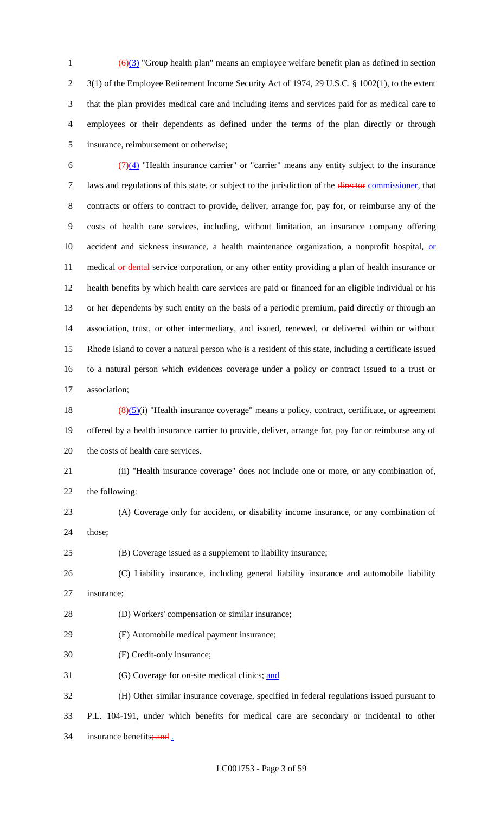$\left(\frac{6}{3}\right)$  "Group health plan" means an employee welfare benefit plan as defined in section 3(1) of the Employee Retirement Income Security Act of 1974, 29 U.S.C. § 1002(1), to the extent that the plan provides medical care and including items and services paid for as medical care to employees or their dependents as defined under the terms of the plan directly or through insurance, reimbursement or otherwise;

 $\frac{(7)(4)}{(7)(4)}$  "Health insurance carrier" or "carrier" means any entity subject to the insurance 7 laws and regulations of this state, or subject to the jurisdiction of the director commissioner, that contracts or offers to contract to provide, deliver, arrange for, pay for, or reimburse any of the costs of health care services, including, without limitation, an insurance company offering 10 accident and sickness insurance, a health maintenance organization, a nonprofit hospital, or 11 medical or dental service corporation, or any other entity providing a plan of health insurance or health benefits by which health care services are paid or financed for an eligible individual or his or her dependents by such entity on the basis of a periodic premium, paid directly or through an association, trust, or other intermediary, and issued, renewed, or delivered within or without Rhode Island to cover a natural person who is a resident of this state, including a certificate issued to a natural person which evidences coverage under a policy or contract issued to a trust or association;

18  $\left(\frac{(8)(5)}{1}\right)$  "Health insurance coverage" means a policy, contract, certificate, or agreement offered by a health insurance carrier to provide, deliver, arrange for, pay for or reimburse any of the costs of health care services.

### (ii) "Health insurance coverage" does not include one or more, or any combination of,

the following:

 (A) Coverage only for accident, or disability income insurance, or any combination of those;

(B) Coverage issued as a supplement to liability insurance;

 (C) Liability insurance, including general liability insurance and automobile liability insurance;

(D) Workers' compensation or similar insurance;

(E) Automobile medical payment insurance;

(F) Credit-only insurance;

(G) Coverage for on-site medical clinics; and

 (H) Other similar insurance coverage, specified in federal regulations issued pursuant to P.L. 104-191, under which benefits for medical care are secondary or incidental to other 34 insurance benefits; and .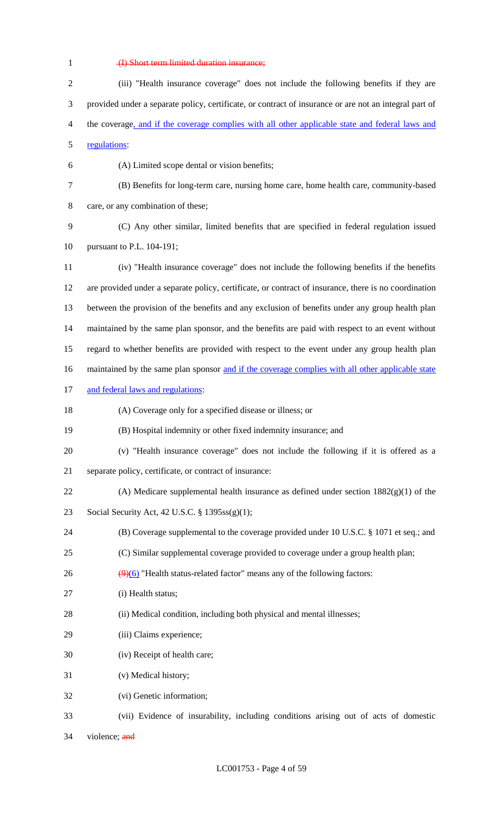# (I) Short term limited duration insurance;

| $\overline{2}$ | (iii) "Health insurance coverage" does not include the following benefits if they are                  |
|----------------|--------------------------------------------------------------------------------------------------------|
| 3              | provided under a separate policy, certificate, or contract of insurance or are not an integral part of |
| 4              | the coverage, and if the coverage complies with all other applicable state and federal laws and        |
| 5              | regulations:                                                                                           |
| 6              | (A) Limited scope dental or vision benefits;                                                           |
| 7              | (B) Benefits for long-term care, nursing home care, home health care, community-based                  |
| 8              | care, or any combination of these;                                                                     |
| 9              | (C) Any other similar, limited benefits that are specified in federal regulation issued                |
| 10             | pursuant to P.L. 104-191;                                                                              |
| 11             | (iv) "Health insurance coverage" does not include the following benefits if the benefits               |
| 12             | are provided under a separate policy, certificate, or contract of insurance, there is no coordination  |
| 13             | between the provision of the benefits and any exclusion of benefits under any group health plan        |
| 14             | maintained by the same plan sponsor, and the benefits are paid with respect to an event without        |
| 15             | regard to whether benefits are provided with respect to the event under any group health plan          |
| 16             | maintained by the same plan sponsor and if the coverage complies with all other applicable state       |
| 17             | and federal laws and regulations:                                                                      |
| 18             | (A) Coverage only for a specified disease or illness; or                                               |
| 19             | (B) Hospital indemnity or other fixed indemnity insurance; and                                         |
| 20             | (v) "Health insurance coverage" does not include the following if it is offered as a                   |
| 21             | separate policy, certificate, or contract of insurance:                                                |
| 22             | (A) Medicare supplemental health insurance as defined under section $1882(g)(1)$ of the                |
| 23             | Social Security Act, 42 U.S.C. § 1395ss(g)(1);                                                         |
| 24             | (B) Coverage supplemental to the coverage provided under 10 U.S.C. § 1071 et seq.; and                 |
| 25             | (C) Similar supplemental coverage provided to coverage under a group health plan;                      |
| 26             | $\left(\frac{9}{6}\right)$ "Health status-related factor" means any of the following factors:          |
| 27             | (i) Health status;                                                                                     |
| 28             | (ii) Medical condition, including both physical and mental illnesses;                                  |
| 29             | (iii) Claims experience;                                                                               |
| 30             | (iv) Receipt of health care;                                                                           |
| 31             | (v) Medical history;                                                                                   |
| 32             | (vi) Genetic information;                                                                              |
| 33             | (vii) Evidence of insurability, including conditions arising out of acts of domestic                   |

violence; and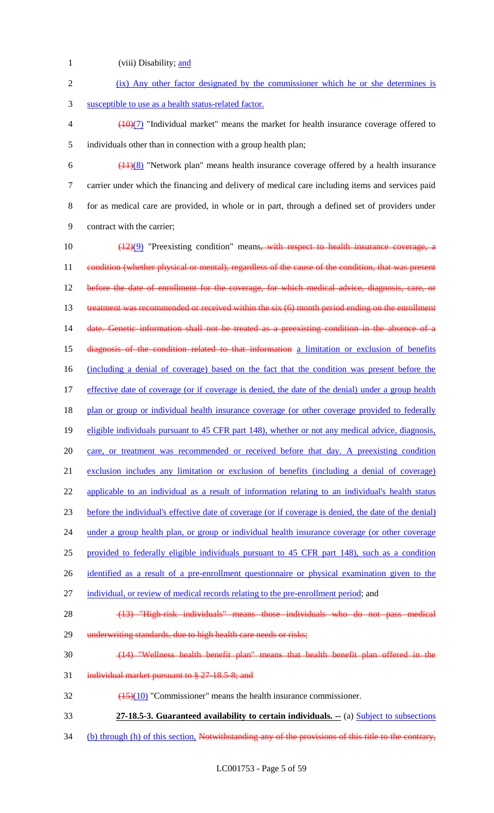- 1 (viii) Disability; and 2 (ix) Any other factor designated by the commissioner which he or she determines is 3 susceptible to use as a health status-related factor.  $\left(\frac{10}{7}\right)$  "Individual market" means the market for health insurance coverage offered to 5 individuals other than in connection with a group health plan; 6  $\left(\frac{(11)(8)}{8}\right)$  "Network plan" means health insurance coverage offered by a health insurance 7 carrier under which the financing and delivery of medical care including items and services paid 8 for as medical care are provided, in whole or in part, through a defined set of providers under 9 contract with the carrier; 10  $\left(\frac{(12)(9)}{2}\right)$  "Preexisting condition" means, with respect to health insurance coverage, a 11 condition (whether physical or mental), regardless of the cause of the condition, that was present 12 before the date of enrollment for the coverage, for which medical advice, diagnosis, care, or 13 treatment was recommended or received within the six (6) month period ending on the enrollment 14 date. Genetic information shall not be treated as a preexisting condition in the absence of a 15 diagnosis of the condition related to that information a limitation or exclusion of benefits 16 (including a denial of coverage) based on the fact that the condition was present before the 17 effective date of coverage (or if coverage is denied, the date of the denial) under a group health 18 plan or group or individual health insurance coverage (or other coverage provided to federally 19 eligible individuals pursuant to 45 CFR part 148), whether or not any medical advice, diagnosis, 20 care, or treatment was recommended or received before that day. A preexisting condition 21 exclusion includes any limitation or exclusion of benefits (including a denial of coverage) 22 applicable to an individual as a result of information relating to an individual's health status 23 before the individual's effective date of coverage (or if coverage is denied, the date of the denial) 24 under a group health plan, or group or individual health insurance coverage (or other coverage 25 provided to federally eligible individuals pursuant to 45 CFR part 148), such as a condition 26 identified as a result of a pre-enrollment questionnaire or physical examination given to the 27 individual, or review of medical records relating to the pre-enrollment period; and 28 (13) "High-risk individuals" means those individuals who do not pass medical 29 underwriting standards, due to high health care needs or risks; 30 (14) "Wellness health benefit plan" means that health benefit plan offered in the 31 individual market pursuant to § 27-18.5-8; and  $\frac{(15)(10)}{20}$  "Commissioner" means the health insurance commissioner. 33 **27-18.5-3. Guaranteed availability to certain individuals. --** (a) Subject to subsections
- 34 (b) through (h) of this section, Notwithstanding any of the provisions of this title to the contrary,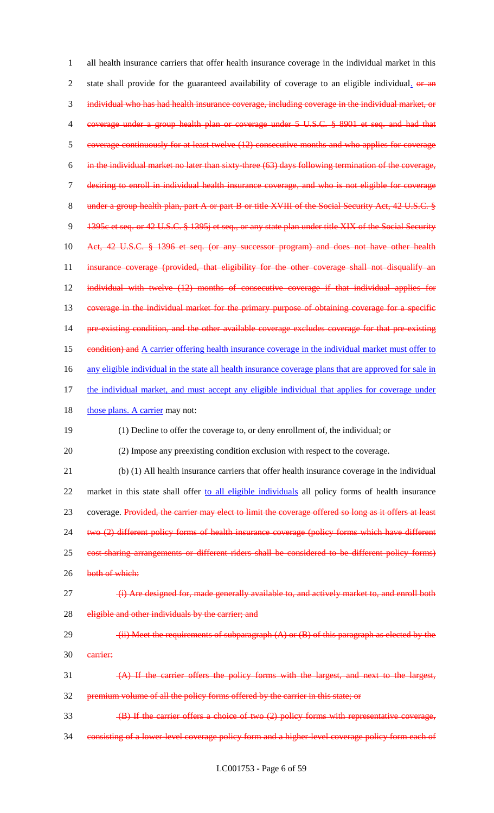1 all health insurance carriers that offer health insurance coverage in the individual market in this 2 state shall provide for the guaranteed availability of coverage to an eligible individual. or an 3 individual who has had health insurance coverage, including coverage in the individual market, or 4 coverage under a group health plan or coverage under 5 U.S.C. § 8901 et seq. and had that 5 coverage continuously for at least twelve (12) consecutive months and who applies for coverage 6 in the individual market no later than sixty-three (63) days following termination of the coverage, 7 desiring to enroll in individual health insurance coverage, and who is not eligible for coverage 8 under a group health plan, part A or part B or title XVIII of the Social Security Act, 42 U.S.C. § 9 1395c et seq. or 42 U.S.C. § 1395j et seq., or any state plan under title XIX of the Social Security 10 Act, 42 U.S.C. § 1396 et seq. (or any successor program) and does not have other health 11 insurance coverage (provided, that eligibility for the other coverage shall not disqualify an 12 individual with twelve (12) months of consecutive coverage if that individual applies for 13 coverage in the individual market for the primary purpose of obtaining coverage for a specific 14 pre-existing condition, and the other available coverage excludes coverage for that pre-existing 15 condition) and A carrier offering health insurance coverage in the individual market must offer to 16 any eligible individual in the state all health insurance coverage plans that are approved for sale in 17 the individual market, and must accept any eligible individual that applies for coverage under 18 those plans. A carrier may not: 19 (1) Decline to offer the coverage to, or deny enrollment of, the individual; or 20 (2) Impose any preexisting condition exclusion with respect to the coverage. 21 (b) (1) All health insurance carriers that offer health insurance coverage in the individual 22 market in this state shall offer to all eligible individuals all policy forms of health insurance 23 coverage. Provided, the carrier may elect to limit the coverage offered so long as it offers at least 24 two (2) different policy forms of health insurance coverage (policy forms which have different 25 cost-sharing arrangements or different riders shall be considered to be different policy forms) 26 both of which: 27 (i) Are designed for, made generally available to, and actively market to, and enroll both 28 eligible and other individuals by the carrier; and 29  $(iii)$  Meet the requirements of subparagraph  $(A)$  or  $(B)$  of this paragraph as elected by the 30 carrier: 31 (A) If the carrier offers the policy forms with the largest, and next to the largest, 32 premium volume of all the policy forms offered by the carrier in this state; or 33 (B) If the carrier offers a choice of two (2) policy forms with representative coverage, 34 consisting of a lower-level coverage policy form and a higher-level coverage policy form each of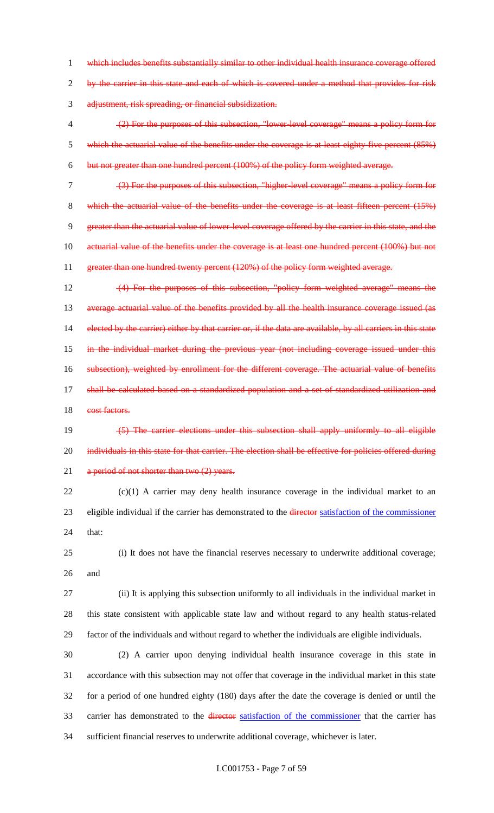1 which includes benefits substantially similar to other individual health insurance coverage offered 2 by the carrier in this state and each of which is covered under a method that provides for risk 3 adjustment, risk spreading, or financial subsidization.

4 (2) For the purposes of this subsection, "lower-level coverage" means a policy form for 5 which the actuarial value of the benefits under the coverage is at least eighty-five percent (85%) 6 but not greater than one hundred percent (100%) of the policy form weighted average.

7 (3) For the purposes of this subsection, "higher-level coverage" means a policy form for 8 which the actuarial value of the benefits under the coverage is at least fifteen percent (15%) 9 greater than the actuarial value of lower-level coverage offered by the carrier in this state, and the 10 actuarial value of the benefits under the coverage is at least one hundred percent (100%) but not 11 greater than one hundred twenty percent (120%) of the policy form weighted average.

12 (4) For the purposes of this subsection, "policy form weighted average" means the 13 average actuarial value of the benefits provided by all the health insurance coverage issued (as 14 elected by the carrier) either by that carrier or, if the data are available, by all carriers in this state 15 in the individual market during the previous year (not including coverage issued under this 16 subsection), weighted by enrollment for the different coverage. The actuarial value of benefits 17 shall be calculated based on a standardized population and a set of standardized utilization and 18 cost factors.

19 (5) The carrier elections under this subsection shall apply uniformly to all eligible 20 individuals in this state for that carrier. The election shall be effective for policies offered during 21 a period of not shorter than two (2) years.

22 (c)(1) A carrier may deny health insurance coverage in the individual market to an 23 eligible individual if the carrier has demonstrated to the director satisfaction of the commissioner 24 that:

25 (i) It does not have the financial reserves necessary to underwrite additional coverage; 26 and

27 (ii) It is applying this subsection uniformly to all individuals in the individual market in 28 this state consistent with applicable state law and without regard to any health status-related 29 factor of the individuals and without regard to whether the individuals are eligible individuals.

 (2) A carrier upon denying individual health insurance coverage in this state in accordance with this subsection may not offer that coverage in the individual market in this state for a period of one hundred eighty (180) days after the date the coverage is denied or until the 33 carrier has demonstrated to the director satisfaction of the commissioner that the carrier has sufficient financial reserves to underwrite additional coverage, whichever is later.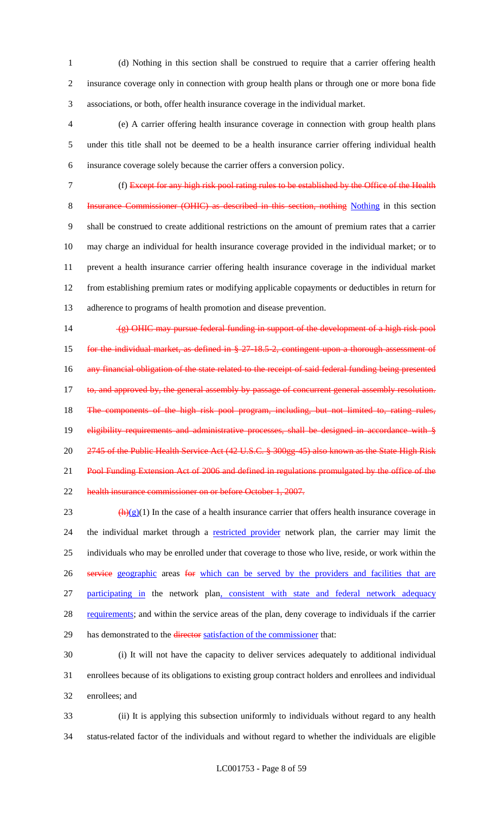(d) Nothing in this section shall be construed to require that a carrier offering health insurance coverage only in connection with group health plans or through one or more bona fide associations, or both, offer health insurance coverage in the individual market.

 (e) A carrier offering health insurance coverage in connection with group health plans under this title shall not be deemed to be a health insurance carrier offering individual health insurance coverage solely because the carrier offers a conversion policy.

 (f) Except for any high risk pool rating rules to be established by the Office of the Health 8 Insurance Commissioner (OHIC) as described in this section, nothing Nothing in this section shall be construed to create additional restrictions on the amount of premium rates that a carrier may charge an individual for health insurance coverage provided in the individual market; or to prevent a health insurance carrier offering health insurance coverage in the individual market from establishing premium rates or modifying applicable copayments or deductibles in return for adherence to programs of health promotion and disease prevention.

 (g) OHIC may pursue federal funding in support of the development of a high risk pool 15 for the individual market, as defined in § 27-18.5-2, contingent upon a thorough assessment of 16 any financial obligation of the state related to the receipt of said federal funding being presented 17 to, and approved by, the general assembly by passage of concurrent general assembly resolution. 18 The components of the high risk pool program, including, but not limited to, rating rules, 19 eligibility requirements and administrative processes, shall be designed in accordance with § 2745 of the Public Health Service Act (42 U.S.C. § 300gg-45) also known as the State High Risk 21 Pool Funding Extension Act of 2006 and defined in regulations promulgated by the office of the health insurance commissioner on or before October 1, 2007.

23 (h)(g)(1) In the case of a health insurance carrier that offers health insurance coverage in 24 the individual market through a restricted provider network plan, the carrier may limit the individuals who may be enrolled under that coverage to those who live, reside, or work within the 26 service geographic areas for which can be served by the providers and facilities that are participating in the network plan, consistent with state and federal network adequacy 28 requirements; and within the service areas of the plan, deny coverage to individuals if the carrier 29 has demonstrated to the director satisfaction of the commissioner that:

 (i) It will not have the capacity to deliver services adequately to additional individual enrollees because of its obligations to existing group contract holders and enrollees and individual enrollees; and

 (ii) It is applying this subsection uniformly to individuals without regard to any health status-related factor of the individuals and without regard to whether the individuals are eligible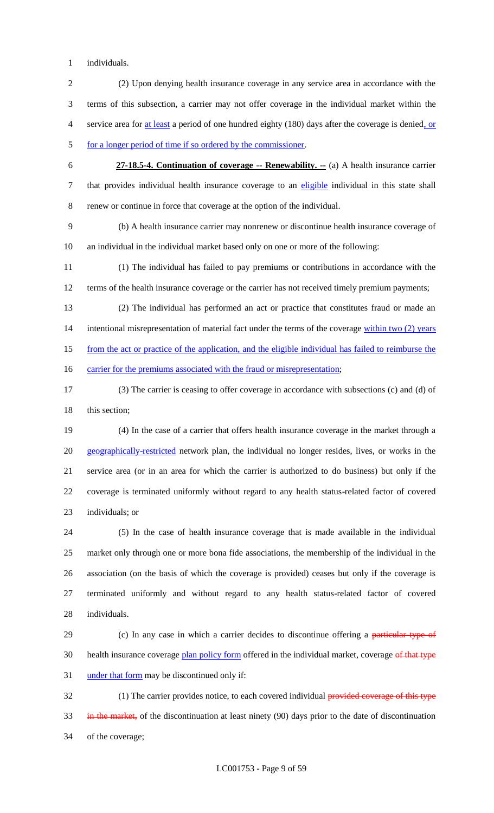individuals.

- (2) Upon denying health insurance coverage in any service area in accordance with the terms of this subsection, a carrier may not offer coverage in the individual market within the service area for at least a period of one hundred eighty (180) days after the coverage is denied, or 5 for a longer period of time if so ordered by the commissioner.
- **27-18.5-4. Continuation of coverage -- Renewability. --** (a) A health insurance carrier 7 that provides individual health insurance coverage to an eligible individual in this state shall renew or continue in force that coverage at the option of the individual.

 (b) A health insurance carrier may nonrenew or discontinue health insurance coverage of an individual in the individual market based only on one or more of the following:

 (1) The individual has failed to pay premiums or contributions in accordance with the 12 terms of the health insurance coverage or the carrier has not received timely premium payments;

 (2) The individual has performed an act or practice that constitutes fraud or made an 14 intentional misrepresentation of material fact under the terms of the coverage within two (2) years from the act or practice of the application, and the eligible individual has failed to reimburse the

16 carrier for the premiums associated with the fraud or misrepresentation;

 (3) The carrier is ceasing to offer coverage in accordance with subsections (c) and (d) of 18 this section;

 (4) In the case of a carrier that offers health insurance coverage in the market through a 20 geographically-restricted network plan, the individual no longer resides, lives, or works in the service area (or in an area for which the carrier is authorized to do business) but only if the coverage is terminated uniformly without regard to any health status-related factor of covered individuals; or

 (5) In the case of health insurance coverage that is made available in the individual market only through one or more bona fide associations, the membership of the individual in the association (on the basis of which the coverage is provided) ceases but only if the coverage is terminated uniformly and without regard to any health status-related factor of covered individuals.

29 (c) In any case in which a carrier decides to discontinue offering a particular type of 30 health insurance coverage plan policy form offered in the individual market, coverage of that type under that form may be discontinued only if:

32 (1) The carrier provides notice, to each covered individual provided coverage of this type 33 in the market, of the discontinuation at least ninety (90) days prior to the date of discontinuation of the coverage;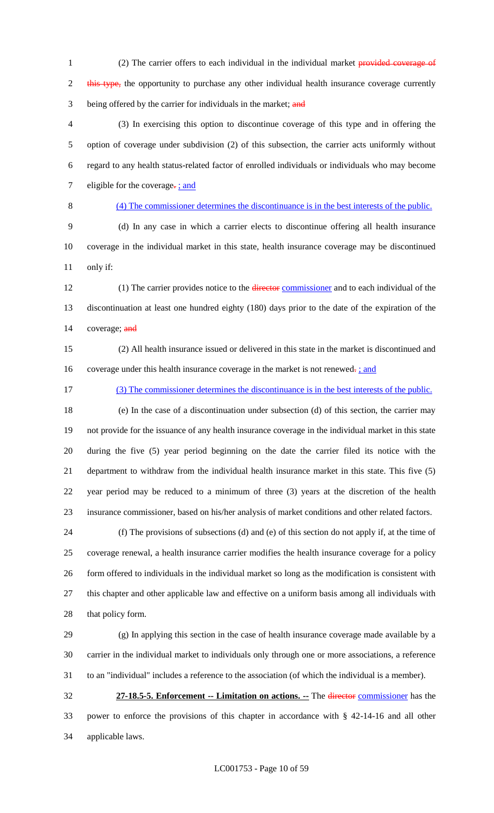1 (2) The carrier offers to each individual in the individual market provided coverage of 2 this type, the opportunity to purchase any other individual health insurance coverage currently 3 being offered by the carrier for individuals in the market; and

 (3) In exercising this option to discontinue coverage of this type and in offering the option of coverage under subdivision (2) of this subsection, the carrier acts uniformly without regard to any health status-related factor of enrolled individuals or individuals who may become 7 eligible for the coverage- $\frac{1}{2}$  and

#### (4) The commissioner determines the discontinuance is in the best interests of the public.

 (d) In any case in which a carrier elects to discontinue offering all health insurance coverage in the individual market in this state, health insurance coverage may be discontinued only if:

12 (1) The carrier provides notice to the director commissioner and to each individual of the discontinuation at least one hundred eighty (180) days prior to the date of the expiration of the 14 coverage; and

 (2) All health insurance issued or delivered in this state in the market is discontinued and 16 coverage under this health insurance coverage in the market is not renewed. *;* and

(3) The commissioner determines the discontinuance is in the best interests of the public.

 (e) In the case of a discontinuation under subsection (d) of this section, the carrier may not provide for the issuance of any health insurance coverage in the individual market in this state during the five (5) year period beginning on the date the carrier filed its notice with the department to withdraw from the individual health insurance market in this state. This five (5) year period may be reduced to a minimum of three (3) years at the discretion of the health insurance commissioner, based on his/her analysis of market conditions and other related factors.

 (f) The provisions of subsections (d) and (e) of this section do not apply if, at the time of coverage renewal, a health insurance carrier modifies the health insurance coverage for a policy form offered to individuals in the individual market so long as the modification is consistent with this chapter and other applicable law and effective on a uniform basis among all individuals with that policy form.

 (g) In applying this section in the case of health insurance coverage made available by a carrier in the individual market to individuals only through one or more associations, a reference to an "individual" includes a reference to the association (of which the individual is a member).

 **27-18.5-5. Enforcement -- Limitation on actions. --** The director commissioner has the power to enforce the provisions of this chapter in accordance with § 42-14-16 and all other applicable laws.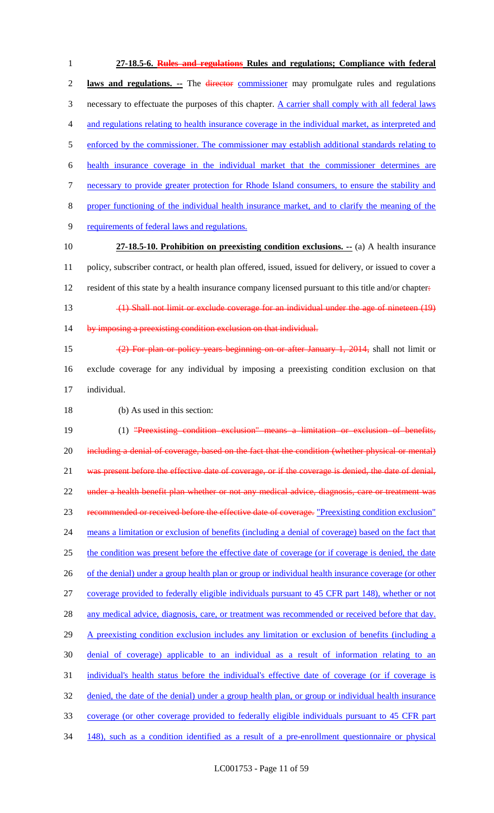**27-18.5-6. Rules and regulations Rules and regulations; Compliance with federal laws and regulations. --** The director commissioner may promulgate rules and regulations 3 necessary to effectuate the purposes of this chapter. A carrier shall comply with all federal laws and regulations relating to health insurance coverage in the individual market, as interpreted and 5 enforced by the commissioner. The commissioner may establish additional standards relating to health insurance coverage in the individual market that the commissioner determines are necessary to provide greater protection for Rhode Island consumers, to ensure the stability and proper functioning of the individual health insurance market, and to clarify the meaning of the requirements of federal laws and regulations. **27-18.5-10. Prohibition on preexisting condition exclusions. --** (a) A health insurance policy, subscriber contract, or health plan offered, issued, issued for delivery, or issued to cover a 12 resident of this state by a health insurance company licensed pursuant to this title and/or chapter. (1) Shall not limit or exclude coverage for an individual under the age of nineteen (19) 14 by imposing a preexisting condition exclusion on that individual. (2) For plan or policy years beginning on or after January 1, 2014, shall not limit or exclude coverage for any individual by imposing a preexisting condition exclusion on that individual. (b) As used in this section: 19 (1) "Preexisting condition exclusion" means a limitation or exclusion of benefits, 20 including a denial of coverage, based on the fact that the condition (whether physical or mental) 21 was present before the effective date of coverage, or if the coverage is denied, the date of denial, under a health benefit plan whether or not any medical advice, diagnosis, care or treatment was recommended or received before the effective date of coverage. "Preexisting condition exclusion" means a limitation or exclusion of benefits (including a denial of coverage) based on the fact that the condition was present before the effective date of coverage (or if coverage is denied, the date 26 of the denial) under a group health plan or group or individual health insurance coverage (or other coverage provided to federally eligible individuals pursuant to 45 CFR part 148), whether or not 28 any medical advice, diagnosis, care, or treatment was recommended or received before that day. 29 A preexisting condition exclusion includes any limitation or exclusion of benefits (including a denial of coverage) applicable to an individual as a result of information relating to an individual's health status before the individual's effective date of coverage (or if coverage is denied, the date of the denial) under a group health plan, or group or individual health insurance coverage (or other coverage provided to federally eligible individuals pursuant to 45 CFR part 148), such as a condition identified as a result of a pre-enrollment questionnaire or physical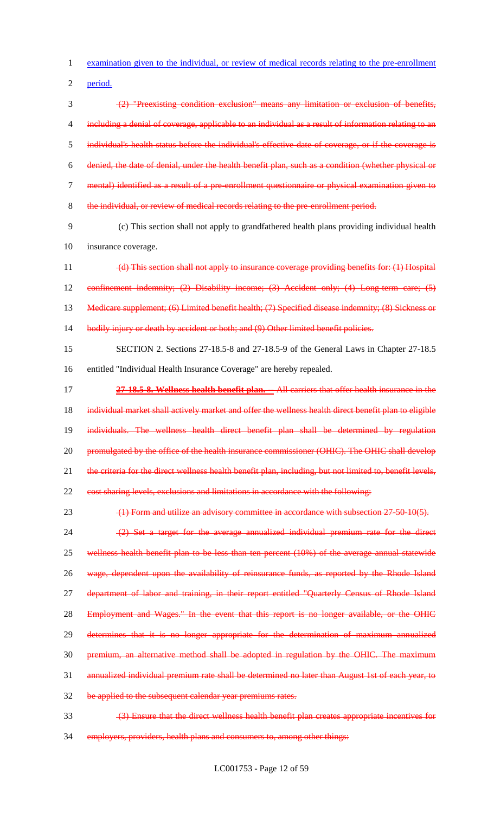examination given to the individual, or review of medical records relating to the pre-enrollment

period.

 (2) "Preexisting condition exclusion" means any limitation or exclusion of benefits, 4 including a denial of coverage, applicable to an individual as a result of information relating to an individual's health status before the individual's effective date of coverage, or if the coverage is denied, the date of denial, under the health benefit plan, such as a condition (whether physical or mental) identified as a result of a pre-enrollment questionnaire or physical examination given to the individual, or review of medical records relating to the pre-enrollment period.

 (c) This section shall not apply to grandfathered health plans providing individual health insurance coverage.

 (d) This section shall not apply to insurance coverage providing benefits for: (1) Hospital 12 confinement indemnity; (2) Disability income; (3) Accident only; (4) Long-term care; (5) 13 Medicare supplement; (6) Limited benefit health; (7) Specified disease indemnity; (8) Sickness or bodily injury or death by accident or both; and (9) Other limited benefit policies.

 SECTION 2. Sections 27-18.5-8 and 27-18.5-9 of the General Laws in Chapter 27-18.5 entitled "Individual Health Insurance Coverage" are hereby repealed.

 **27-18.5-8. Wellness health benefit plan. --** All carriers that offer health insurance in the 18 individual market shall actively market and offer the wellness health direct benefit plan to eligible individuals. The wellness health direct benefit plan shall be determined by regulation 20 promulgated by the office of the health insurance commissioner (OHIC). The OHIC shall develop 21 the criteria for the direct wellness health benefit plan, including, but not limited to, benefit levels, cost sharing levels, exclusions and limitations in accordance with the following:

23 (1) Form and utilize an advisory committee in accordance with subsection 27-50-10(5).

24 (2) Set a target for the average annualized individual premium rate for the direct wellness health benefit plan to be less than ten percent (10%) of the average annual statewide 26 wage, dependent upon the availability of reinsurance funds, as reported by the Rhode Island 27 department of labor and training, in their report entitled "Quarterly Census of Rhode Island 28 Employment and Wages." In the event that this report is no longer available, or the OHIC determines that it is no longer appropriate for the determination of maximum annualized premium, an alternative method shall be adopted in regulation by the OHIC. The maximum annualized individual premium rate shall be determined no later than August 1st of each year, to be applied to the subsequent calendar year premiums rates.

(3) Ensure that the direct wellness health benefit plan creates appropriate incentives for

employers, providers, health plans and consumers to, among other things: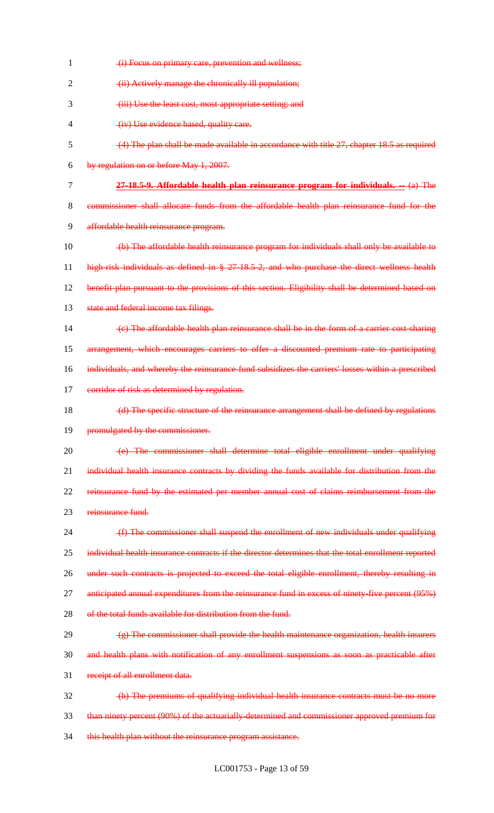| 1  | (i) Focus on primary care, prevention and wellness;                                                 |
|----|-----------------------------------------------------------------------------------------------------|
| 2  | (ii) Actively manage the chronically ill population;                                                |
| 3  | (iii) Use the least cost, most appropriate setting; and                                             |
| 4  | (iv) Use evidence based, quality care.                                                              |
| 5  | $(4)$ The plan shall be made available in accordance with title 27, chapter 18.5 as required        |
| 6  | by regulation on or before May 1, 2007.                                                             |
| 7  | 27-18.5-9. Affordable health plan reinsurance program for individuals. -- (a) The                   |
| 8  | commissioner shall allocate funds from the affordable health plan reinsurance fund for the          |
| 9  | affordable health reinsurance program.                                                              |
| 10 | (b) The affordable health reinsurance program for individuals shall only be available to            |
| 11 | high-risk individuals as defined in § 27-18.5-2, and who purchase the direct wellness health        |
| 12 | benefit plan pursuant to the provisions of this section. Eligibility shall be determined based on   |
| 13 | state and federal income tax filings.                                                               |
| 14 | (e) The affordable health plan reinsurance shall be in the form of a carrier cost sharing           |
| 15 | arrangement, which encourages carriers to offer a discounted premium rate to participating          |
| 16 | individuals, and whereby the reinsurance fund subsidizes the carriers' losses within a prescribed   |
| 17 | corridor of risk as determined by regulation.                                                       |
| 18 | (d) The specific structure of the reinsurance arrangement shall be defined by regulations           |
| 19 | promulgated by the commissioner.                                                                    |
| 20 | (e) The commissioner shall determine total eligible enrollment under qualifying                     |
| 21 | individual health insurance contracts by dividing the funds available for distribution from the     |
| 22 | reinsurance fund by the estimated per member annual cost of claims reimbursement from the           |
| 23 | reinsurance fund.                                                                                   |
| 24 | (f) The commissioner shall suspend the enrollment of new individuals under qualifying               |
| 25 | individual health insurance contracts if the director determines that the total enrollment reported |
| 26 | under such contracts is projected to exceed the total eligible enrollment, thereby resulting in     |
| 27 | anticipated annual expenditures from the reinsurance fund in excess of ninety five percent (95%)    |
| 28 | of the total funds available for distribution from the fund.                                        |
| 29 | $(g)$ The commissioner shall provide the health maintenance organization, health insurers           |
| 30 | and health plans with notification of any enrollment suspensions as soon as practicable after       |
| 31 | receipt of all enrollment data.                                                                     |
| 32 | (h) The premiums of qualifying individual health insurance contracts must be no more                |
| 33 | than ninety percent (90%) of the actuarially determined and commissioner approved premium for       |
| 34 | this health plan without the reinsurance program assistance.                                        |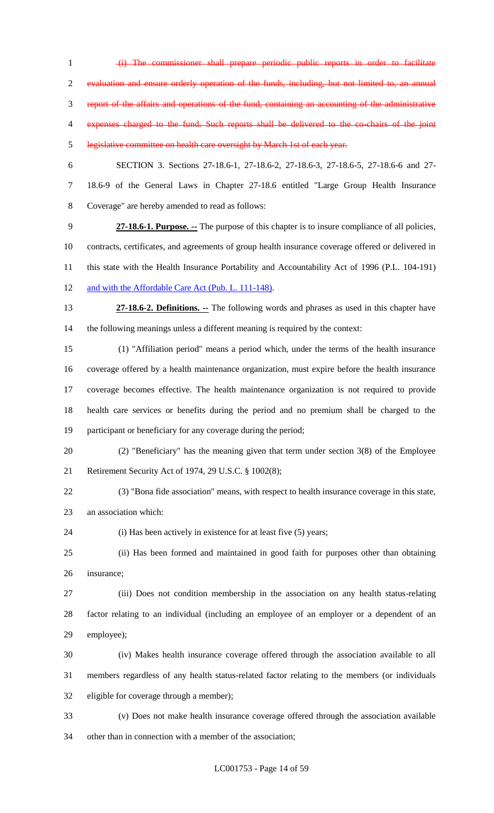(i) The commissioner shall prepare periodic public reports in order to facilitate evaluation and ensure orderly operation of the funds, including, but not limited to, an annual report of the affairs and operations of the fund, containing an accounting of the administrative expenses charged to the fund. Such reports shall be delivered to the co-chairs of the joint legislative committee on health care oversight by March 1st of each year. SECTION 3. Sections 27-18.6-1, 27-18.6-2, 27-18.6-3, 27-18.6-5, 27-18.6-6 and 27- 18.6-9 of the General Laws in Chapter 27-18.6 entitled "Large Group Health Insurance Coverage" are hereby amended to read as follows: **27-18.6-1. Purpose. --** The purpose of this chapter is to insure compliance of all policies, contracts, certificates, and agreements of group health insurance coverage offered or delivered in this state with the Health Insurance Portability and Accountability Act of 1996 (P.L. 104-191) 12 and with the Affordable Care Act (Pub. L. 111-148). **27-18.6-2. Definitions. --** The following words and phrases as used in this chapter have the following meanings unless a different meaning is required by the context: (1) "Affiliation period" means a period which, under the terms of the health insurance

 coverage offered by a health maintenance organization, must expire before the health insurance coverage becomes effective. The health maintenance organization is not required to provide health care services or benefits during the period and no premium shall be charged to the participant or beneficiary for any coverage during the period;

- (2) "Beneficiary" has the meaning given that term under section 3(8) of the Employee Retirement Security Act of 1974, 29 U.S.C. § 1002(8);
- (3) "Bona fide association" means, with respect to health insurance coverage in this state, an association which:
- 24 (i) Has been actively in existence for at least five (5) years;

 (ii) Has been formed and maintained in good faith for purposes other than obtaining insurance;

 (iii) Does not condition membership in the association on any health status-relating factor relating to an individual (including an employee of an employer or a dependent of an employee);

 (iv) Makes health insurance coverage offered through the association available to all members regardless of any health status-related factor relating to the members (or individuals eligible for coverage through a member);

 (v) Does not make health insurance coverage offered through the association available other than in connection with a member of the association;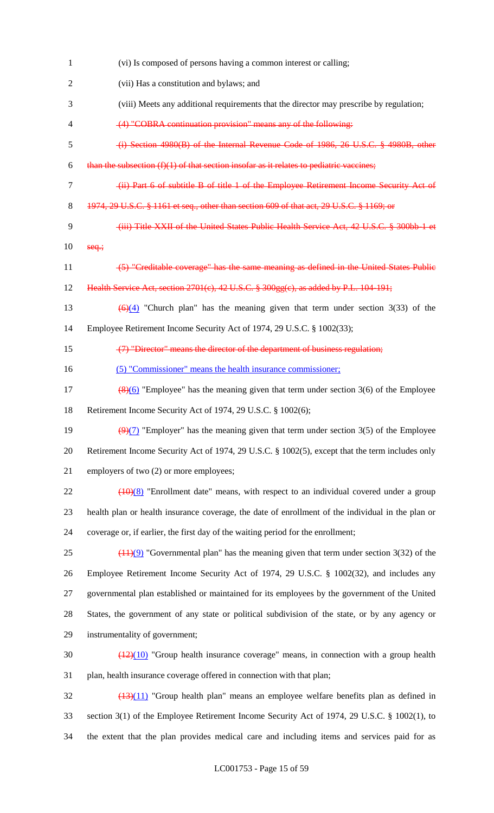| $\mathbf{1}$   | (vi) Is composed of persons having a common interest or calling;                                           |
|----------------|------------------------------------------------------------------------------------------------------------|
| $\overline{2}$ | (vii) Has a constitution and bylaws; and                                                                   |
| 3              | (viii) Meets any additional requirements that the director may prescribe by regulation;                    |
| 4              | (4) "COBRA continuation provision" means any of the following:                                             |
| 5              | (i) Section 4980(B) of the Internal Revenue Code of 1986, 26 U.S.C. § 4980B, other                         |
| 6              | than the subsection $(f)(1)$ of that section insofar as it relates to pediatric vaccines;                  |
| $\tau$         | (ii) Part 6 of subtitle B of title 1 of the Employee Retirement Income Security Act of                     |
| 8              | 1974, 29 U.S.C. § 1161 et seq., other than section 609 of that act, 29 U.S.C. § 1169; or                   |
| 9              | (iii) Title XXII of the United States Public Health Service Act, 42 U.S.C. § 300bb-1 et                    |
| 10             | $seq$ ;                                                                                                    |
| 11             | (5) "Creditable coverage" has the same meaning as defined in the United States Public                      |
| 12             | Health Service Act, section 2701(c), 42 U.S.C. § 300gg(c), as added by P.L. 104-191;                       |
| 13             | $\left(\frac{6}{24}\right)$ "Church plan" has the meaning given that term under section 3(33) of the       |
| 14             | Employee Retirement Income Security Act of 1974, 29 U.S.C. § 1002(33);                                     |
| 15             | (7) "Director" means the director of the department of business regulation;                                |
| 16             | (5) "Commissioner" means the health insurance commissioner;                                                |
| 17             | $\frac{8(6)}{2}$ "Employee" has the meaning given that term under section 3(6) of the Employee             |
| 18             | Retirement Income Security Act of 1974, 29 U.S.C. § 1002(6);                                               |
| 19             | $\left(\frac{9}{7}\right)$ "Employer" has the meaning given that term under section 3(5) of the Employee   |
| 20             | Retirement Income Security Act of 1974, 29 U.S.C. § 1002(5), except that the term includes only            |
| 21             | employers of two (2) or more employees;                                                                    |
| 22             | $(10)(8)$ "Enrollment date" means, with respect to an individual covered under a group                     |
| 23             | health plan or health insurance coverage, the date of enrollment of the individual in the plan or          |
| 24             | coverage or, if earlier, the first day of the waiting period for the enrollment;                           |
| 25             | $\left(\frac{11}{9}\right)$ "Governmental plan" has the meaning given that term under section 3(32) of the |
| 26             | Employee Retirement Income Security Act of 1974, 29 U.S.C. § 1002(32), and includes any                    |
| 27             | governmental plan established or maintained for its employees by the government of the United              |
| 28             | States, the government of any state or political subdivision of the state, or by any agency or             |
| 29             | instrumentality of government;                                                                             |
| 30             | $\frac{(12)(10)}{(12)(10)}$ "Group health insurance coverage" means, in connection with a group health     |
| 31             | plan, health insurance coverage offered in connection with that plan;                                      |
| 32             | $\left(\frac{13}{11}\right)$ "Group health plan" means an employee welfare benefits plan as defined in     |
| 33             | section 3(1) of the Employee Retirement Income Security Act of 1974, 29 U.S.C. § 1002(1), to               |
| 34             | the extent that the plan provides medical care and including items and services paid for as                |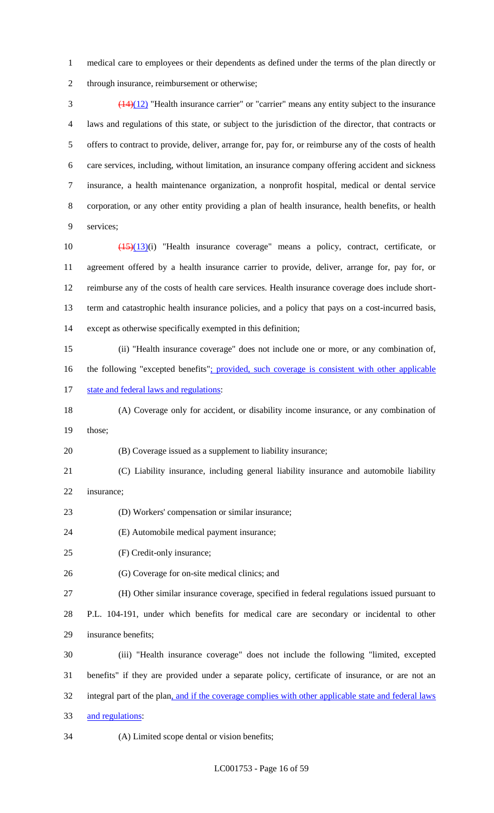medical care to employees or their dependents as defined under the terms of the plan directly or through insurance, reimbursement or otherwise;

 $\frac{(14)(12)}{14}$  "Health insurance carrier" or "carrier" means any entity subject to the insurance laws and regulations of this state, or subject to the jurisdiction of the director, that contracts or offers to contract to provide, deliver, arrange for, pay for, or reimburse any of the costs of health care services, including, without limitation, an insurance company offering accident and sickness insurance, a health maintenance organization, a nonprofit hospital, medical or dental service corporation, or any other entity providing a plan of health insurance, health benefits, or health services;

 (15)(13)(i) "Health insurance coverage" means a policy, contract, certificate, or agreement offered by a health insurance carrier to provide, deliver, arrange for, pay for, or reimburse any of the costs of health care services. Health insurance coverage does include short- term and catastrophic health insurance policies, and a policy that pays on a cost-incurred basis, except as otherwise specifically exempted in this definition;

 (ii) "Health insurance coverage" does not include one or more, or any combination of, 16 the following "excepted benefits": provided, such coverage is consistent with other applicable 17 state and federal laws and regulations:

 (A) Coverage only for accident, or disability income insurance, or any combination of those;

(B) Coverage issued as a supplement to liability insurance;

- (C) Liability insurance, including general liability insurance and automobile liability insurance;
- (D) Workers' compensation or similar insurance;
- (E) Automobile medical payment insurance;
- (F) Credit-only insurance;
- (G) Coverage for on-site medical clinics; and

(H) Other similar insurance coverage, specified in federal regulations issued pursuant to

 P.L. 104-191, under which benefits for medical care are secondary or incidental to other insurance benefits;

 (iii) "Health insurance coverage" does not include the following "limited, excepted benefits" if they are provided under a separate policy, certificate of insurance, or are not an 32 integral part of the plan, and if the coverage complies with other applicable state and federal laws and regulations:

(A) Limited scope dental or vision benefits;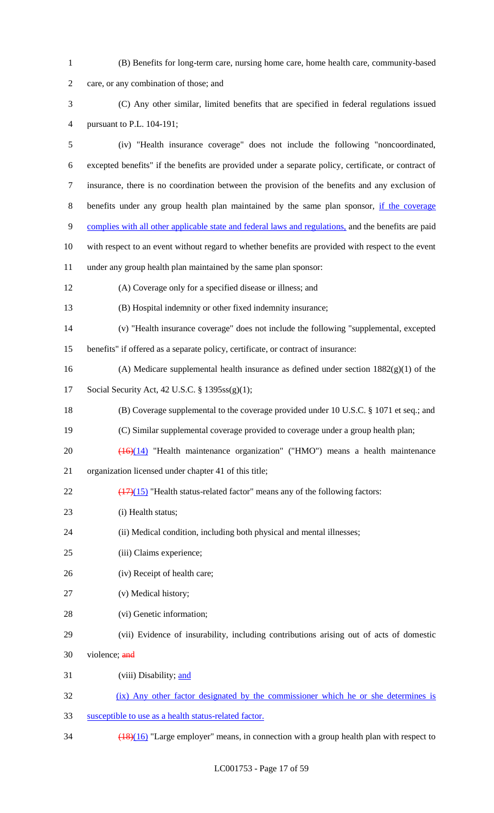| $\mathbf{1}$   | (B) Benefits for long-term care, nursing home care, home health care, community-based                |
|----------------|------------------------------------------------------------------------------------------------------|
| $\overline{2}$ | care, or any combination of those; and                                                               |
| 3              | (C) Any other similar, limited benefits that are specified in federal regulations issued             |
| 4              | pursuant to P.L. 104-191;                                                                            |
| 5              | (iv) "Health insurance coverage" does not include the following "noncoordinated,                     |
| 6              | excepted benefits" if the benefits are provided under a separate policy, certificate, or contract of |
| 7              | insurance, there is no coordination between the provision of the benefits and any exclusion of       |
| 8              | benefits under any group health plan maintained by the same plan sponsor, if the coverage            |
| 9              | complies with all other applicable state and federal laws and regulations, and the benefits are paid |
| 10             | with respect to an event without regard to whether benefits are provided with respect to the event   |
| 11             | under any group health plan maintained by the same plan sponsor:                                     |
| 12             | (A) Coverage only for a specified disease or illness; and                                            |
| 13             | (B) Hospital indemnity or other fixed indemnity insurance;                                           |
| 14             | (v) "Health insurance coverage" does not include the following "supplemental, excepted               |
| 15             | benefits" if offered as a separate policy, certificate, or contract of insurance:                    |
| 16             | (A) Medicare supplemental health insurance as defined under section $1882(g)(1)$ of the              |
| 17             | Social Security Act, 42 U.S.C. § 1395ss(g)(1);                                                       |
| 18             | (B) Coverage supplemental to the coverage provided under 10 U.S.C. § 1071 et seq.; and               |
| 19             | (C) Similar supplemental coverage provided to coverage under a group health plan;                    |
| 20             | $\overline{(16)(14)}$ "Health maintenance organization" ("HMO") means a health maintenance           |
| 21             | organization licensed under chapter 41 of this title;                                                |
| 22             | $\frac{(17)(15)}{(17)(15)}$ "Health status-related factor" means any of the following factors:       |
| 23             | (i) Health status;                                                                                   |
| 24             | (ii) Medical condition, including both physical and mental illnesses;                                |
| 25             | (iii) Claims experience;                                                                             |
| 26             | (iv) Receipt of health care;                                                                         |
| 27             | (v) Medical history;                                                                                 |
| 28             | (vi) Genetic information;                                                                            |
| 29             | (vii) Evidence of insurability, including contributions arising out of acts of domestic              |
| 30             | violence; and                                                                                        |
| 31             | (viii) Disability; and                                                                               |
| 32             | (ix) Any other factor designated by the commissioner which he or she determines is                   |
| 33             | susceptible to use as a health status-related factor.                                                |
|                |                                                                                                      |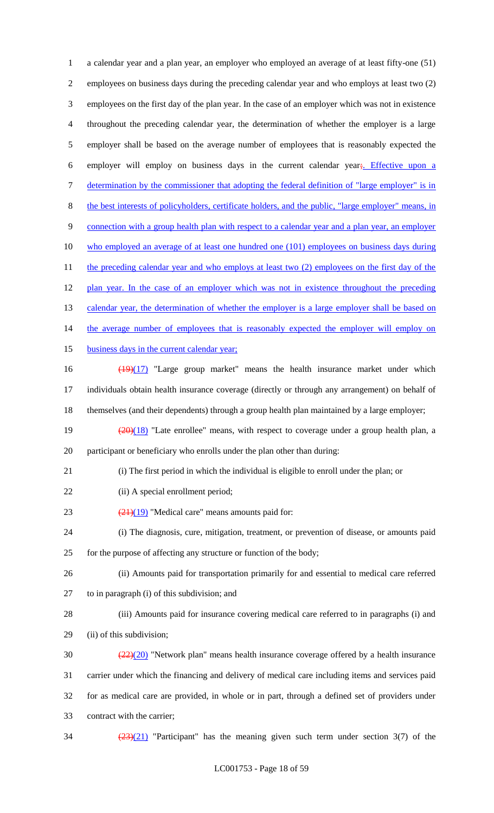a calendar year and a plan year, an employer who employed an average of at least fifty-one (51) employees on business days during the preceding calendar year and who employs at least two (2) employees on the first day of the plan year. In the case of an employer which was not in existence throughout the preceding calendar year, the determination of whether the employer is a large employer shall be based on the average number of employees that is reasonably expected the 6 employer will employ on business days in the current calendar year; Effective upon a 7 determination by the commissioner that adopting the federal definition of "large employer" is in the best interests of policyholders, certificate holders, and the public, "large employer" means, in 9 connection with a group health plan with respect to a calendar year and a plan year, an employer who employed an average of at least one hundred one (101) employees on business days during 11 the preceding calendar year and who employs at least two (2) employees on the first day of the 12 plan year. In the case of an employer which was not in existence throughout the preceding 13 calendar year, the determination of whether the employer is a large employer shall be based on 14 the average number of employees that is reasonably expected the employer will employ on 15 business days in the current calendar year; 16 (19)(17) "Large group market" means the health insurance market under which individuals obtain health insurance coverage (directly or through any arrangement) on behalf of themselves (and their dependents) through a group health plan maintained by a large employer;  $\frac{(20)(18)}{20}$  "Late enrollee" means, with respect to coverage under a group health plan, a participant or beneficiary who enrolls under the plan other than during: (i) The first period in which the individual is eligible to enroll under the plan; or 22 (ii) A special enrollment period;  $(21)(19)$  "Medical care" means amounts paid for: (i) The diagnosis, cure, mitigation, treatment, or prevention of disease, or amounts paid for the purpose of affecting any structure or function of the body; (ii) Amounts paid for transportation primarily for and essential to medical care referred to in paragraph (i) of this subdivision; and (iii) Amounts paid for insurance covering medical care referred to in paragraphs (i) and (ii) of this subdivision;  $\frac{(22)(20)}{20}$  "Network plan" means health insurance coverage offered by a health insurance carrier under which the financing and delivery of medical care including items and services paid for as medical care are provided, in whole or in part, through a defined set of providers under contract with the carrier;  $\frac{(23)(21)}{2}$  "Participant" has the meaning given such term under section 3(7) of the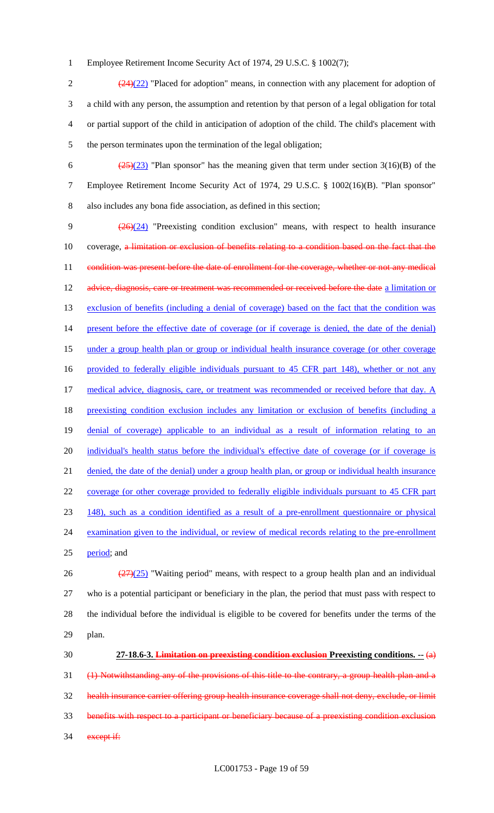1 Employee Retirement Income Security Act of 1974, 29 U.S.C. § 1002(7);

 $\frac{(24)(22)}{24}$  "Placed for adoption" means, in connection with any placement for adoption of a child with any person, the assumption and retention by that person of a legal obligation for total or partial support of the child in anticipation of adoption of the child. The child's placement with the person terminates upon the termination of the legal obligation;

6  $\frac{(25)(23)}{25}$  "Plan sponsor" has the meaning given that term under section 3(16)(B) of the 7 Employee Retirement Income Security Act of 1974, 29 U.S.C. § 1002(16)(B). "Plan sponsor" 8 also includes any bona fide association, as defined in this section;

9  $\left(\frac{26}{24}\right)$  "Preexisting condition exclusion" means, with respect to health insurance 10 coverage, a limitation or exclusion of benefits relating to a condition based on the fact that the 11 condition was present before the date of enrollment for the coverage, whether or not any medical 12 advice, diagnosis, care or treatment was recommended or received before the date a limitation or 13 exclusion of benefits (including a denial of coverage) based on the fact that the condition was 14 present before the effective date of coverage (or if coverage is denied, the date of the denial) 15 under a group health plan or group or individual health insurance coverage (or other coverage 16 provided to federally eligible individuals pursuant to 45 CFR part 148), whether or not any 17 medical advice, diagnosis, care, or treatment was recommended or received before that day. A 18 preexisting condition exclusion includes any limitation or exclusion of benefits (including a 19 denial of coverage) applicable to an individual as a result of information relating to an 20 individual's health status before the individual's effective date of coverage (or if coverage is 21 denied, the date of the denial) under a group health plan, or group or individual health insurance 22 coverage (or other coverage provided to federally eligible individuals pursuant to 45 CFR part 23 148), such as a condition identified as a result of a pre-enrollment questionnaire or physical 24 examination given to the individual, or review of medical records relating to the pre-enrollment 25 period; and 26  $\frac{(27)(25)}{27}$  "Waiting period" means, with respect to a group health plan and an individual

27 who is a potential participant or beneficiary in the plan, the period that must pass with respect to 28 the individual before the individual is eligible to be covered for benefits under the terms of the 29 plan.

 **27-18.6-3. Limitation on preexisting condition exclusion Preexisting conditions. --** (a) (1) Notwithstanding any of the provisions of this title to the contrary, a group health plan and a health insurance carrier offering group health insurance coverage shall not deny, exclude, or limit benefits with respect to a participant or beneficiary because of a preexisting condition exclusion 34 except if: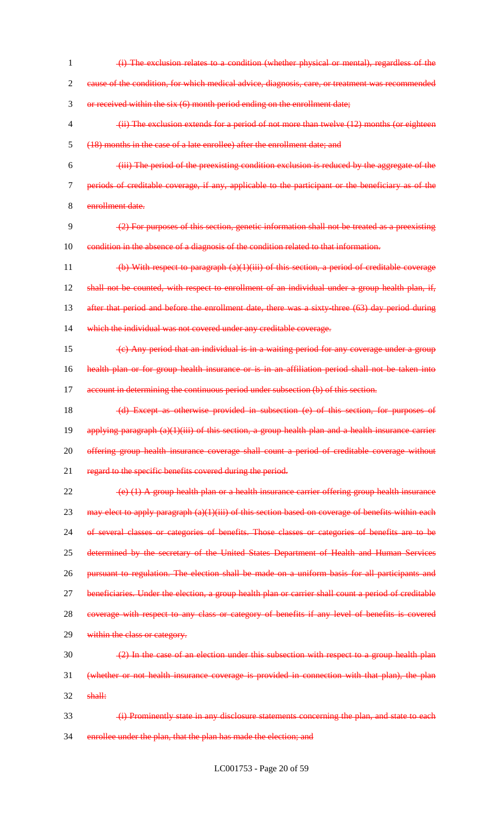1 (i) The exclusion relates to a condition (whether physical or mental), regardless of the 2 cause of the condition, for which medical advice, diagnosis, care, or treatment was recommended 3 or received within the six (6) month period ending on the enrollment date; 4 (ii) The exclusion extends for a period of not more than twelve (12) months (or eighteen 5 (18) months in the case of a late enrollee) after the enrollment date; and 6 (iii) The period of the preexisting condition exclusion is reduced by the aggregate of the 7 periods of creditable coverage, if any, applicable to the participant or the beneficiary as of the 8 enrollment date.  $9 \left( \frac{2}{2} \right)$  For purposes of this section, genetic information shall not be treated as a preexisting 10 condition in the absence of a diagnosis of the condition related to that information. 11 (b) With respect to paragraph (a)(1)(iii) of this section, a period of creditable coverage 12 shall not be counted, with respect to enrollment of an individual under a group health plan, if, 13 after that period and before the enrollment date, there was a sixty-three (63) day period during 14 which the individual was not covered under any creditable coverage.  $15 \left( c \right)$  Any period that an individual is in a waiting period for any coverage under a group 16 health plan or for group health insurance or is in an affiliation period shall not be taken into 17 account in determining the continuous period under subsection (b) of this section. 18 (d) Except as otherwise provided in subsection (e) of this section, for purposes of 19 applying paragraph (a)(1)(iii) of this section, a group health plan and a health insurance carrier 20 offering group health insurance coverage shall count a period of creditable coverage without 21 regard to the specific benefits covered during the period. 22 (e) (1) A group health plan or a health insurance carrier offering group health insurance 23 may elect to apply paragraph  $(a)(1)(iii)$  of this section based on coverage of benefits within each 24 of several classes or categories of benefits. Those classes or categories of benefits are to be 25 determined by the secretary of the United States Department of Health and Human Services 26 pursuant to regulation. The election shall be made on a uniform basis for all participants and 27 beneficiaries. Under the election, a group health plan or carrier shall count a period of creditable 28 coverage with respect to any class or category of benefits if any level of benefits is covered 29 within the class or category.  $\frac{2}{2}$  In the case of an election under this subsection with respect to a group health plan 31 (whether or not health insurance coverage is provided in connection with that plan), the plan  $32$  shall: 33 (i) Prominently state in any disclosure statements concerning the plan, and state to each 34 enrollee under the plan, that the plan has made the election; and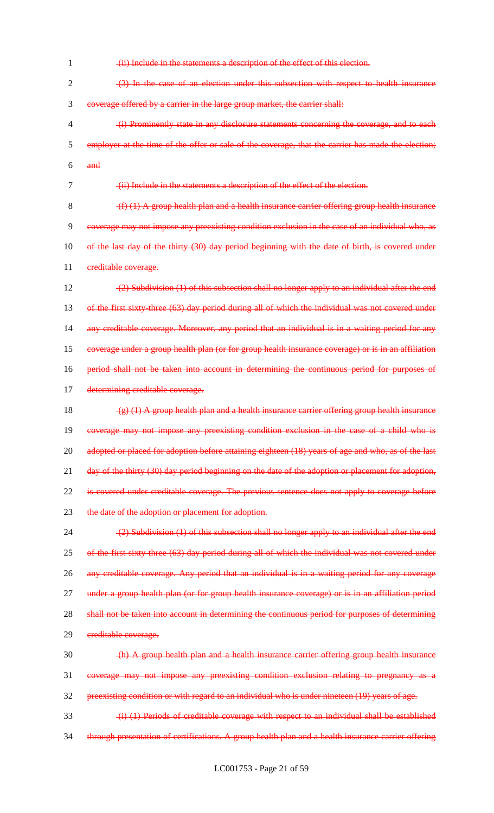1 (ii) Include in the statements a description of the effect of this election.  $2 \left(3\right)$  In the case of an election under this subsection with respect to health insurance 3 coverage offered by a carrier in the large group market, the carrier shall: 4 (i) Prominently state in any disclosure statements concerning the coverage, and to each 5 employer at the time of the offer or sale of the coverage, that the carrier has made the election; 6 and

7 (ii) Include in the statements a description of the effect of the election.

 $8 \left( f \right) (1)$  A group health plan and a health insurance carrier offering group health insurance 9 coverage may not impose any preexisting condition exclusion in the case of an individual who, as 10 of the last day of the thirty (30) day period beginning with the date of birth, is covered under 11 creditable coverage.

12 (2) Subdivision (1) of this subsection shall no longer apply to an individual after the end 13 of the first sixty-three (63) day period during all of which the individual was not covered under 14 any creditable coverage. Moreover, any period that an individual is in a waiting period for any 15 coverage under a group health plan (or for group health insurance coverage) or is in an affiliation 16 period shall not be taken into account in determining the continuous period for purposes of 17 determining creditable coverage.

18  $(g)(1)$  A group health plan and a health insurance carrier offering group health insurance 19 coverage may not impose any preexisting condition exclusion in the case of a child who is 20 adopted or placed for adoption before attaining eighteen (18) years of age and who, as of the last 21 day of the thirty (30) day period beginning on the date of the adoption or placement for adoption, 22 is covered under creditable coverage. The previous sentence does not apply to coverage before 23 the date of the adoption or placement for adoption.

24 (2) Subdivision (1) of this subsection shall no longer apply to an individual after the end 25 of the first sixty-three (63) day period during all of which the individual was not covered under 26 any creditable coverage. Any period that an individual is in a waiting period for any coverage 27 under a group health plan (or for group health insurance coverage) or is in an affiliation period 28 shall not be taken into account in determining the continuous period for purposes of determining 29 creditable coverage.

 $\frac{1}{20}$  (h) A group health plan and a health insurance carrier offering group health insurance 31 coverage may not impose any preexisting condition exclusion relating to pregnancy as a 32 preexisting condition or with regard to an individual who is under nineteen (19) years of age.

33 (i) (1) Periods of creditable coverage with respect to an individual shall be established 34 through presentation of certifications. A group health plan and a health insurance carrier offering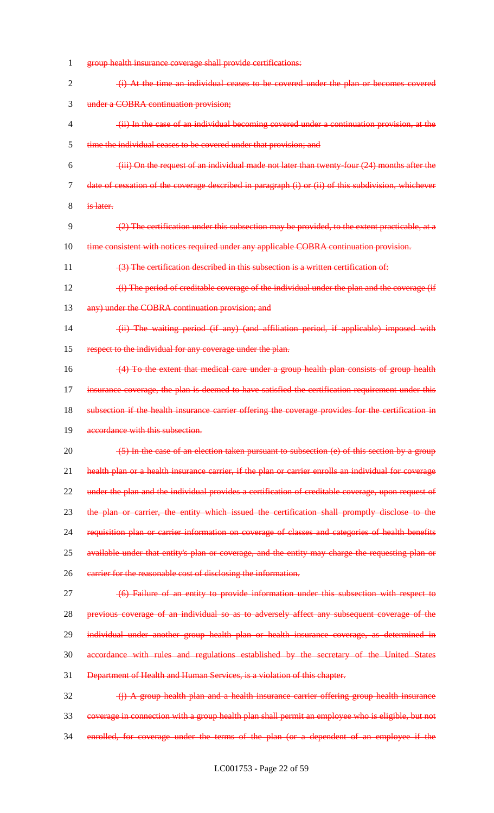- 1 group health insurance coverage shall provide certifications: 2 (i) At the time an individual ceases to be covered under the plan or becomes covered 3 under a COBRA continuation provision; 4 (ii) In the case of an individual becoming covered under a continuation provision, at the 5 time the individual ceases to be covered under that provision; and  $6 \rightarrow$  (iii) On the request of an individual made not later than twenty-four (24) months after the 7 date of cessation of the coverage described in paragraph (i) or (ii) of this subdivision, whichever 8 is later. 9 (2) The certification under this subsection may be provided, to the extent practicable, at a 10 time consistent with notices required under any applicable COBRA continuation provision. 11 (3) The certification described in this subsection is a written certification of: 12 (i) The period of creditable coverage of the individual under the plan and the coverage (if 13 any) under the COBRA continuation provision; and 14 (ii) The waiting period (if any) (and affiliation period, if applicable) imposed with 15 respect to the individual for any coverage under the plan. 16 (4) To the extent that medical care under a group health plan consists of group health 17 insurance coverage, the plan is deemed to have satisfied the certification requirement under this 18 subsection if the health insurance carrier offering the coverage provides for the certification in 19 accordance with this subsection. 20 (5) In the case of an election taken pursuant to subsection (e) of this section by a group 21 health plan or a health insurance carrier, if the plan or carrier enrolls an individual for coverage 22 under the plan and the individual provides a certification of creditable coverage, upon request of 23 the plan or carrier, the entity which issued the certification shall promptly disclose to the 24 requisition plan or carrier information on coverage of classes and categories of health benefits 25 available under that entity's plan or coverage, and the entity may charge the requesting plan or 26 earrier for the reasonable cost of disclosing the information. 27 (6) Failure of an entity to provide information under this subsection with respect to 28 previous coverage of an individual so as to adversely affect any subsequent coverage of the 29 individual under another group health plan or health insurance coverage, as determined in 30 accordance with rules and regulations established by the secretary of the United States 31 Department of Health and Human Services, is a violation of this chapter.  $32$  (i) A group health plan and a health insurance carrier offering group health insurance 33 coverage in connection with a group health plan shall permit an employee who is eligible, but not
- 34 enrolled, for coverage under the terms of the plan (or a dependent of an employee if the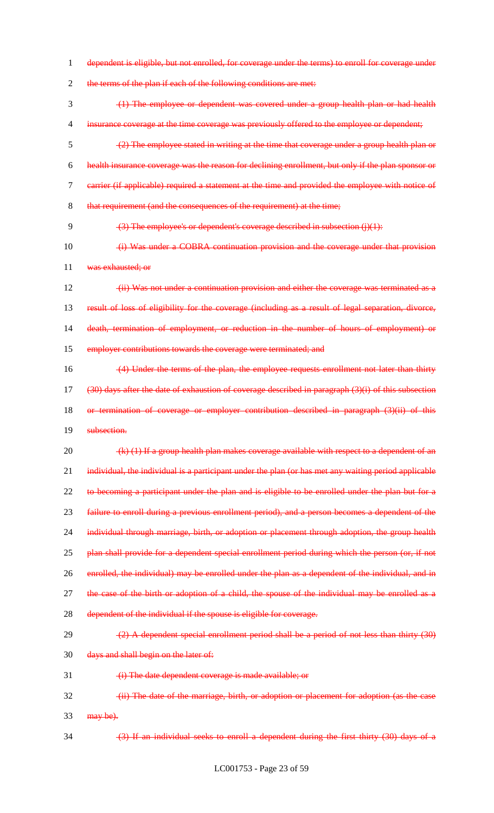1 dependent is eligible, but not enrolled, for coverage under the terms) to enroll for coverage under

2 the terms of the plan if each of the following conditions are met:

 (1) The employee or dependent was covered under a group health plan or had health 4 insurance coverage at the time coverage was previously offered to the employee or dependent; (2) The employee stated in writing at the time that coverage under a group health plan or health insurance coverage was the reason for declining enrollment, but only if the plan sponsor or carrier (if applicable) required a statement at the time and provided the employee with notice of 8 that requirement (and the consequences of the requirement) at the time;

9 (3) The employee's or dependent's coverage described in subsection (j)(1):

10 (i) Was under a COBRA continuation provision and the coverage under that provision 11 was exhausted; or

12 (ii) Was not under a continuation provision and either the coverage was terminated as a 13 result of loss of eligibility for the coverage (including as a result of legal separation, divorce, 14 death, termination of employment, or reduction in the number of hours of employment) or 15 employer contributions towards the coverage were terminated; and

16 (4) Under the terms of the plan, the employee requests enrollment not later than thirty  $17$  (30) days after the date of exhaustion of coverage described in paragraph (3)(i) of this subsection 18 or termination of coverage or employer contribution described in paragraph (3)(ii) of this

19 subsection.

20  $(k)$  (1) If a group health plan makes coverage available with respect to a dependent of an 21 individual, the individual is a participant under the plan (or has met any waiting period applicable 22 to becoming a participant under the plan and is eligible to be enrolled under the plan but for a 23 failure to enroll during a previous enrollment period), and a person becomes a dependent of the 24 individual through marriage, birth, or adoption or placement through adoption, the group health 25 plan shall provide for a dependent special enrollment period during which the person (or, if not 26 enrolled, the individual) may be enrolled under the plan as a dependent of the individual, and in 27 the case of the birth or adoption of a child, the spouse of the individual may be enrolled as a 28 dependent of the individual if the spouse is eligible for coverage.

 $(2)$  (2) A dependent special enrollment period shall be a period of not less than thirty  $(30)$ 

30 days and shall begin on the later of:

31 (i) The date dependent coverage is made available; or

32 (ii) The date of the marriage, birth, or adoption or placement for adoption (as the case  $33$  may be).

34 (3) If an individual seeks to enroll a dependent during the first thirty (30) days of a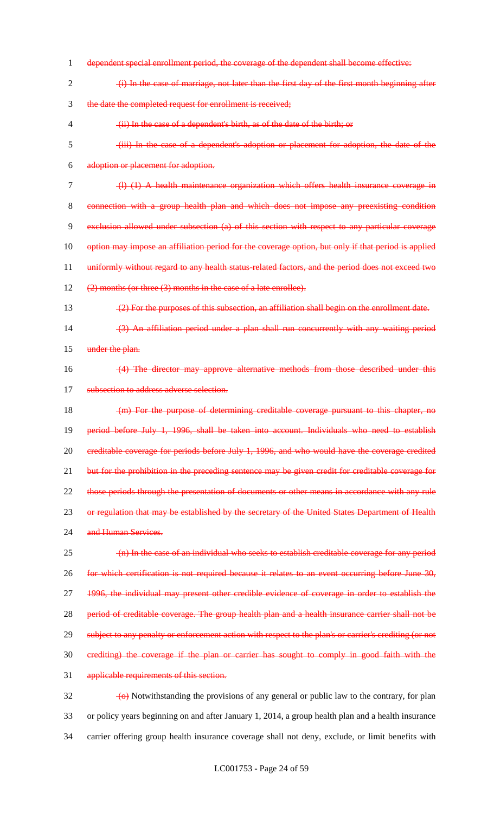dependent special enrollment period, the coverage of the dependent shall become effective: (i) In the case of marriage, not later than the first day of the first month beginning after the date the completed request for enrollment is received; (ii) In the case of a dependent's birth, as of the date of the birth; or (iii) In the case of a dependent's adoption or placement for adoption, the date of the adoption or placement for adoption. (l) (1) A health maintenance organization which offers health insurance coverage in connection with a group health plan and which does not impose any preexisting condition exclusion allowed under subsection (a) of this section with respect to any particular coverage option may impose an affiliation period for the coverage option, but only if that period is applied 11 uniformly without regard to any health status-related factors, and the period does not exceed two 12 (2) months (or three (3) months in the case of a late enrollee). (2) For the purposes of this subsection, an affiliation shall begin on the enrollment date. (3) An affiliation period under a plan shall run concurrently with any waiting period 15 under the plan. (4) The director may approve alternative methods from those described under this 17 subsection to address adverse selection. 18 (m) For the purpose of determining creditable coverage pursuant to this chapter, no period before July 1, 1996, shall be taken into account. Individuals who need to establish creditable coverage for periods before July 1, 1996, and who would have the coverage credited 21 but for the prohibition in the preceding sentence may be given credit for creditable coverage for 22 those periods through the presentation of documents or other means in accordance with any rule 23 or regulation that may be established by the secretary of the United States Department of Health 24 and Human Services. (n) In the case of an individual who seeks to establish creditable coverage for any period for which certification is not required because it relates to an event occurring before June 30, 1996, the individual may present other credible evidence of coverage in order to establish the 28 period of creditable coverage. The group health plan and a health insurance carrier shall not be 29 subject to any penalty or enforcement action with respect to the plan's or carrier's crediting (or not crediting) the coverage if the plan or carrier has sought to comply in good faith with the applicable requirements of this section.  $\frac{1}{2}$  (o) Notwithstanding the provisions of any general or public law to the contrary, for plan

 or policy years beginning on and after January 1, 2014, a group health plan and a health insurance carrier offering group health insurance coverage shall not deny, exclude, or limit benefits with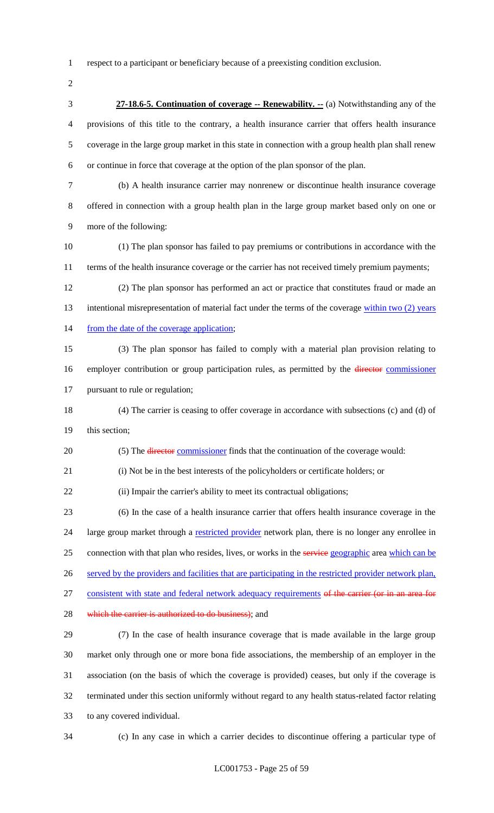respect to a participant or beneficiary because of a preexisting condition exclusion.

 **27-18.6-5. Continuation of coverage -- Renewability. --** (a) Notwithstanding any of the provisions of this title to the contrary, a health insurance carrier that offers health insurance coverage in the large group market in this state in connection with a group health plan shall renew or continue in force that coverage at the option of the plan sponsor of the plan.

 (b) A health insurance carrier may nonrenew or discontinue health insurance coverage offered in connection with a group health plan in the large group market based only on one or more of the following:

 (1) The plan sponsor has failed to pay premiums or contributions in accordance with the terms of the health insurance coverage or the carrier has not received timely premium payments;

 (2) The plan sponsor has performed an act or practice that constitutes fraud or made an 13 intentional misrepresentation of material fact under the terms of the coverage within two (2) years 14 from the date of the coverage application;

 (3) The plan sponsor has failed to comply with a material plan provision relating to 16 employer contribution or group participation rules, as permitted by the *director commissioner* pursuant to rule or regulation;

 (4) The carrier is ceasing to offer coverage in accordance with subsections (c) and (d) of this section;

20 (5) The director commissioner finds that the continuation of the coverage would:

(i) Not be in the best interests of the policyholders or certificate holders; or

22 (ii) Impair the carrier's ability to meet its contractual obligations;

 (6) In the case of a health insurance carrier that offers health insurance coverage in the 24 large group market through a restricted provider network plan, there is no longer any enrollee in 25 connection with that plan who resides, lives, or works in the service geographic area which can be 26 served by the providers and facilities that are participating in the restricted provider network plan, 27 consistent with state and federal network adequacy requirements of the carrier (or in an area for

28 which the carrier is authorized to do business); and

 (7) In the case of health insurance coverage that is made available in the large group market only through one or more bona fide associations, the membership of an employer in the association (on the basis of which the coverage is provided) ceases, but only if the coverage is terminated under this section uniformly without regard to any health status-related factor relating to any covered individual.

(c) In any case in which a carrier decides to discontinue offering a particular type of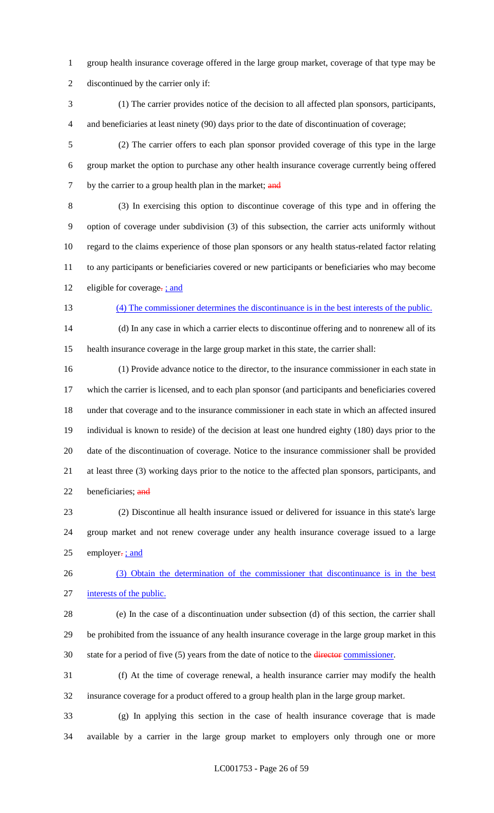- group health insurance coverage offered in the large group market, coverage of that type may be discontinued by the carrier only if:
- (1) The carrier provides notice of the decision to all affected plan sponsors, participants, and beneficiaries at least ninety (90) days prior to the date of discontinuation of coverage;
- (2) The carrier offers to each plan sponsor provided coverage of this type in the large group market the option to purchase any other health insurance coverage currently being offered 7 by the carrier to a group health plan in the market; and
- (3) In exercising this option to discontinue coverage of this type and in offering the option of coverage under subdivision (3) of this subsection, the carrier acts uniformly without regard to the claims experience of those plan sponsors or any health status-related factor relating to any participants or beneficiaries covered or new participants or beneficiaries who may become 12 eligible for coverage-; and
- 

# (4) The commissioner determines the discontinuance is in the best interests of the public.

 (d) In any case in which a carrier elects to discontinue offering and to nonrenew all of its health insurance coverage in the large group market in this state, the carrier shall:

 (1) Provide advance notice to the director, to the insurance commissioner in each state in which the carrier is licensed, and to each plan sponsor (and participants and beneficiaries covered under that coverage and to the insurance commissioner in each state in which an affected insured individual is known to reside) of the decision at least one hundred eighty (180) days prior to the date of the discontinuation of coverage. Notice to the insurance commissioner shall be provided at least three (3) working days prior to the notice to the affected plan sponsors, participants, and 22 beneficiaries; and

 (2) Discontinue all health insurance issued or delivered for issuance in this state's large group market and not renew coverage under any health insurance coverage issued to a large 25 employer $\frac{1}{2}$  ; and

 (3) Obtain the determination of the commissioner that discontinuance is in the best interests of the public.

- (e) In the case of a discontinuation under subsection (d) of this section, the carrier shall be prohibited from the issuance of any health insurance coverage in the large group market in this 30 state for a period of five (5) years from the date of notice to the director commissioner.
- (f) At the time of coverage renewal, a health insurance carrier may modify the health insurance coverage for a product offered to a group health plan in the large group market.

 (g) In applying this section in the case of health insurance coverage that is made available by a carrier in the large group market to employers only through one or more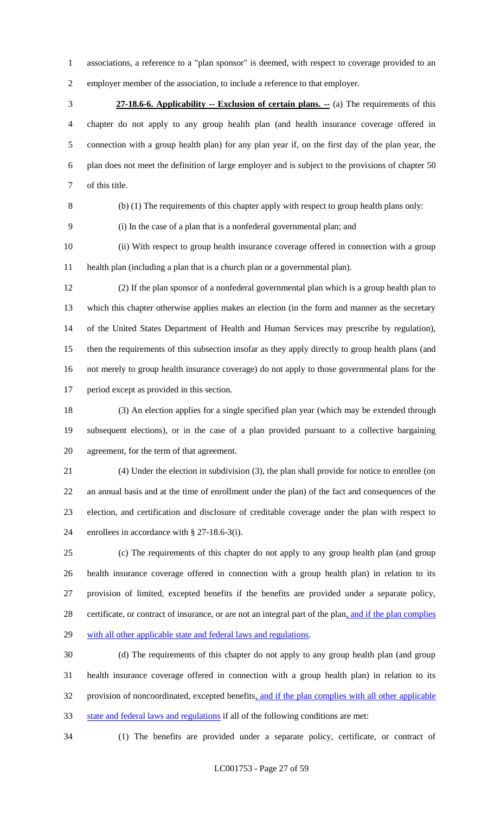associations, a reference to a "plan sponsor" is deemed, with respect to coverage provided to an employer member of the association, to include a reference to that employer.

 **27-18.6-6. Applicability -- Exclusion of certain plans. --** (a) The requirements of this chapter do not apply to any group health plan (and health insurance coverage offered in connection with a group health plan) for any plan year if, on the first day of the plan year, the plan does not meet the definition of large employer and is subject to the provisions of chapter 50 of this title.

(b) (1) The requirements of this chapter apply with respect to group health plans only:

(i) In the case of a plan that is a nonfederal governmental plan; and

 (ii) With respect to group health insurance coverage offered in connection with a group health plan (including a plan that is a church plan or a governmental plan).

 (2) If the plan sponsor of a nonfederal governmental plan which is a group health plan to which this chapter otherwise applies makes an election (in the form and manner as the secretary of the United States Department of Health and Human Services may prescribe by regulation), then the requirements of this subsection insofar as they apply directly to group health plans (and not merely to group health insurance coverage) do not apply to those governmental plans for the period except as provided in this section.

 (3) An election applies for a single specified plan year (which may be extended through subsequent elections), or in the case of a plan provided pursuant to a collective bargaining agreement, for the term of that agreement.

 (4) Under the election in subdivision (3), the plan shall provide for notice to enrollee (on an annual basis and at the time of enrollment under the plan) of the fact and consequences of the election, and certification and disclosure of creditable coverage under the plan with respect to enrollees in accordance with § 27-18.6-3(i).

 (c) The requirements of this chapter do not apply to any group health plan (and group health insurance coverage offered in connection with a group health plan) in relation to its provision of limited, excepted benefits if the benefits are provided under a separate policy, 28 certificate, or contract of insurance, or are not an integral part of the plan, and if the plan complies 29 with all other applicable state and federal laws and regulations.

 (d) The requirements of this chapter do not apply to any group health plan (and group health insurance coverage offered in connection with a group health plan) in relation to its 32 provision of noncoordinated, excepted benefits, and if the plan complies with all other applicable state and federal laws and regulations if all of the following conditions are met:

(1) The benefits are provided under a separate policy, certificate, or contract of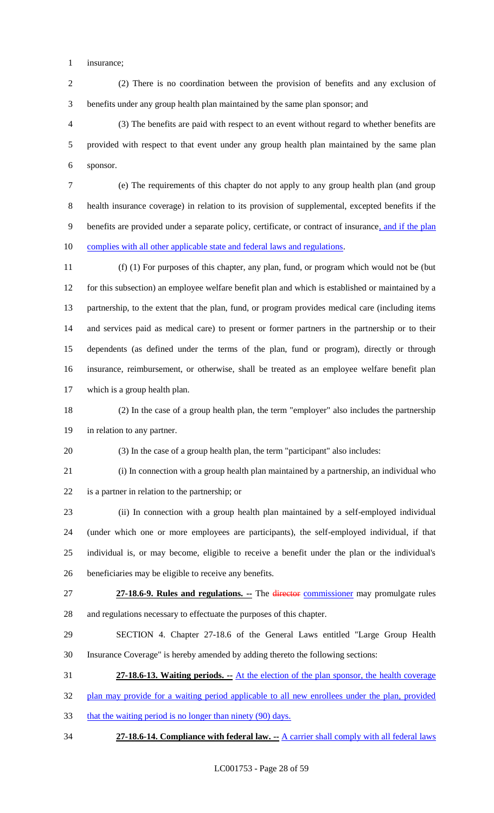insurance;

 (2) There is no coordination between the provision of benefits and any exclusion of benefits under any group health plan maintained by the same plan sponsor; and

 (3) The benefits are paid with respect to an event without regard to whether benefits are provided with respect to that event under any group health plan maintained by the same plan sponsor.

 (e) The requirements of this chapter do not apply to any group health plan (and group health insurance coverage) in relation to its provision of supplemental, excepted benefits if the 9 benefits are provided under a separate policy, certificate, or contract of insurance, and if the plan 10 complies with all other applicable state and federal laws and regulations.

 (f) (1) For purposes of this chapter, any plan, fund, or program which would not be (but for this subsection) an employee welfare benefit plan and which is established or maintained by a partnership, to the extent that the plan, fund, or program provides medical care (including items and services paid as medical care) to present or former partners in the partnership or to their dependents (as defined under the terms of the plan, fund or program), directly or through insurance, reimbursement, or otherwise, shall be treated as an employee welfare benefit plan which is a group health plan.

 (2) In the case of a group health plan, the term "employer" also includes the partnership in relation to any partner.

(3) In the case of a group health plan, the term "participant" also includes:

 (i) In connection with a group health plan maintained by a partnership, an individual who is a partner in relation to the partnership; or

 (ii) In connection with a group health plan maintained by a self-employed individual (under which one or more employees are participants), the self-employed individual, if that individual is, or may become, eligible to receive a benefit under the plan or the individual's beneficiaries may be eligible to receive any benefits.

 **27-18.6-9. Rules and regulations. --** The director commissioner may promulgate rules and regulations necessary to effectuate the purposes of this chapter.

 SECTION 4. Chapter 27-18.6 of the General Laws entitled "Large Group Health Insurance Coverage" is hereby amended by adding thereto the following sections:

**27-18.6-13. Waiting periods. --** At the election of the plan sponsor, the health coverage

32 plan may provide for a waiting period applicable to all new enrollees under the plan, provided

33 that the waiting period is no longer than ninety (90) days.

**27-18.6-14. Compliance with federal law. --** A carrier shall comply with all federal laws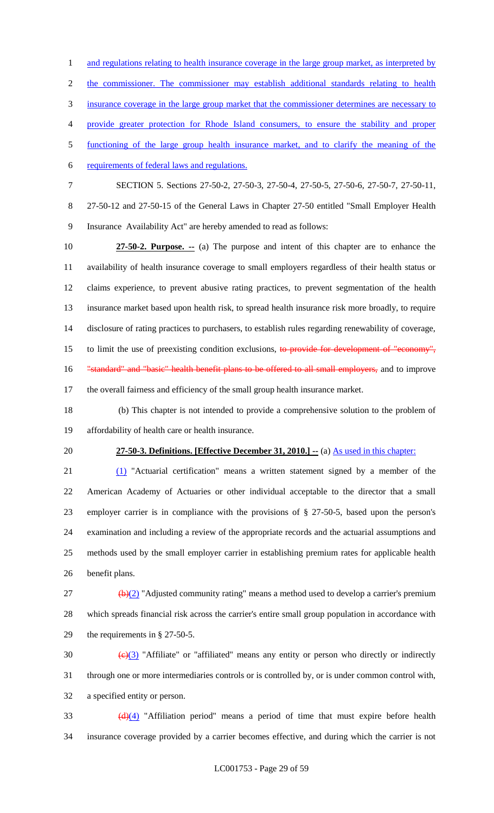1 and regulations relating to health insurance coverage in the large group market, as interpreted by the commissioner. The commissioner may establish additional standards relating to health insurance coverage in the large group market that the commissioner determines are necessary to provide greater protection for Rhode Island consumers, to ensure the stability and proper functioning of the large group health insurance market, and to clarify the meaning of the requirements of federal laws and regulations. SECTION 5. Sections 27-50-2, 27-50-3, 27-50-4, 27-50-5, 27-50-6, 27-50-7, 27-50-11, 27-50-12 and 27-50-15 of the General Laws in Chapter 27-50 entitled "Small Employer Health Insurance Availability Act" are hereby amended to read as follows:

 **27-50-2. Purpose. --** (a) The purpose and intent of this chapter are to enhance the availability of health insurance coverage to small employers regardless of their health status or claims experience, to prevent abusive rating practices, to prevent segmentation of the health insurance market based upon health risk, to spread health insurance risk more broadly, to require disclosure of rating practices to purchasers, to establish rules regarding renewability of coverage, 15 to limit the use of preexisting condition exclusions, to provide for development of "economy", 16 "standard" and "basic" health benefit plans to be offered to all small employers, and to improve the overall fairness and efficiency of the small group health insurance market.

 (b) This chapter is not intended to provide a comprehensive solution to the problem of affordability of health care or health insurance.

#### **27-50-3. Definitions. [Effective December 31, 2010.] --** (a) As used in this chapter:

 (1) "Actuarial certification" means a written statement signed by a member of the American Academy of Actuaries or other individual acceptable to the director that a small employer carrier is in compliance with the provisions of § 27-50-5, based upon the person's examination and including a review of the appropriate records and the actuarial assumptions and methods used by the small employer carrier in establishing premium rates for applicable health benefit plans.

 (b)(2) "Adjusted community rating" means a method used to develop a carrier's premium which spreads financial risk across the carrier's entire small group population in accordance with the requirements in § 27-50-5.

30  $\left(\frac{e}{3}\right)$  "Affiliate" or "affiliated" means any entity or person who directly or indirectly through one or more intermediaries controls or is controlled by, or is under common control with, a specified entity or person.

 $\frac{d}{d\mu}$  "Affiliation period" means a period of time that must expire before health insurance coverage provided by a carrier becomes effective, and during which the carrier is not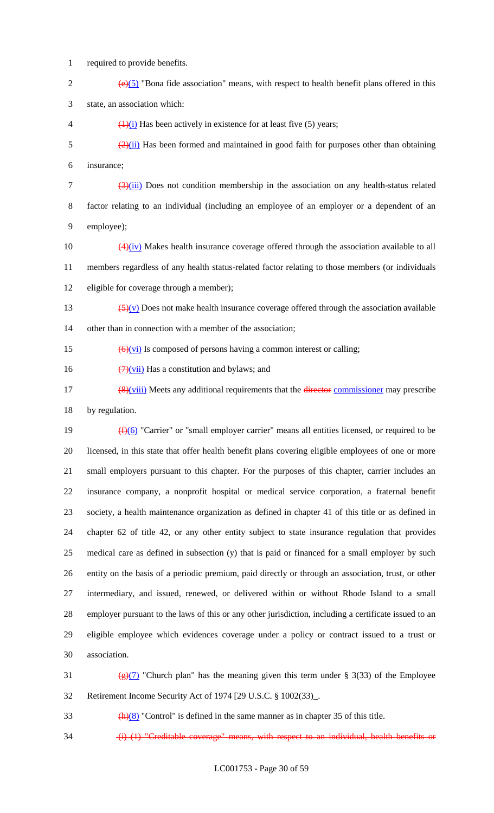1 required to provide benefits.

- 2  $(e)(5)$  "Bona fide association" means, with respect to health benefit plans offered in this 3 state, an association which:
- 4  $\left(\frac{1}{i}\right)$  Has been actively in existence for at least five (5) years;
- $\frac{(2)(ii)}{(2)(ii)}$  Has been formed and maintained in good faith for purposes other than obtaining 6 insurance;

 $\frac{(3)(iii)}{(2)(ii)}$  Does not condition membership in the association on any health-status related 8 factor relating to an individual (including an employee of an employer or a dependent of an 9 employee);

- 10  $\left(4\right)\left(iv\right)$  Makes health insurance coverage offered through the association available to all 11 members regardless of any health status-related factor relating to those members (or individuals 12 eligible for coverage through a member);
- 13  $\frac{(5)(v)}{(5)(v)}$  Does not make health insurance coverage offered through the association available 14 other than in connection with a member of the association:
- 15  $\left(\frac{6}{\sqrt{v}}\right)$  Is composed of persons having a common interest or calling;
- 16  $\left(\frac{7}{10}\right)$  Has a constitution and bylaws; and
- $\frac{48}{v\text{iii}}$  Meets any additional requirements that the director commissioner may prescribe 18 by regulation.

 $(f)(6)$  "Carrier" or "small employer carrier" means all entities licensed, or required to be licensed, in this state that offer health benefit plans covering eligible employees of one or more small employers pursuant to this chapter. For the purposes of this chapter, carrier includes an insurance company, a nonprofit hospital or medical service corporation, a fraternal benefit society, a health maintenance organization as defined in chapter 41 of this title or as defined in chapter 62 of title 42, or any other entity subject to state insurance regulation that provides medical care as defined in subsection (y) that is paid or financed for a small employer by such entity on the basis of a periodic premium, paid directly or through an association, trust, or other intermediary, and issued, renewed, or delivered within or without Rhode Island to a small employer pursuant to the laws of this or any other jurisdiction, including a certificate issued to an eligible employee which evidences coverage under a policy or contract issued to a trust or association.

- 31 (g)(7) "Church plan" has the meaning given this term under § 3(33) of the Employee 32 Retirement Income Security Act of 1974 [29 U.S.C. § 1002(33)\_.
- $\frac{h(8)}{2}$  "Control" is defined in the same manner as in chapter 35 of this title.
- 34 (i) (1) "Creditable coverage" means, with respect to an individual, health benefits or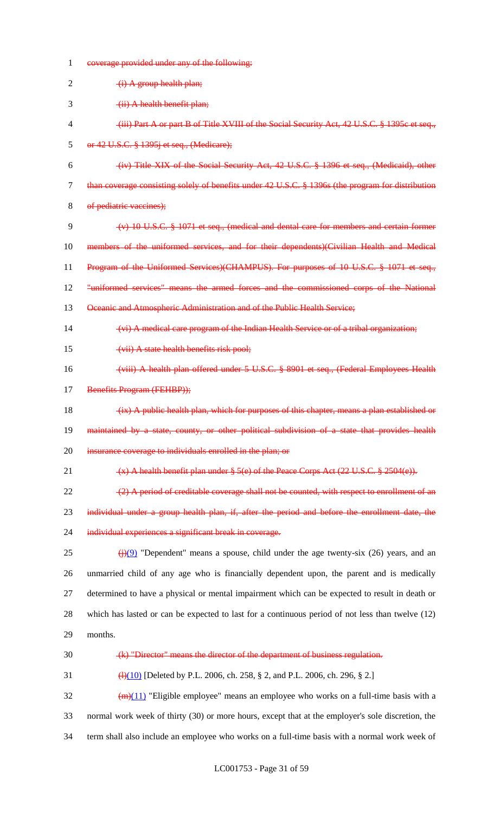| 1      | coverage provided under any of the following:                                                             |
|--------|-----------------------------------------------------------------------------------------------------------|
| 2      | $(i)$ A group health plan;                                                                                |
| 3      | (ii) A health benefit plan;                                                                               |
| 4      | (iii) Part A or part B of Title XVIII of the Social Security Act, 42 U.S.C. § 1395c et seq.,              |
| 5      | or 42 U.S.C. § 1395j et seq., (Medicare);                                                                 |
| 6      | (iv) Title XIX of the Social Security Act, 42 U.S.C. § 1396 et seq., (Medicaid), other                    |
| $\tau$ | than coverage consisting solely of benefits under 42 U.S.C. § 1396s (the program for distribution         |
| 8      | of pediatric vaccines);                                                                                   |
| 9      | $(v)$ 10 U.S.C. $\frac{8}{5}$ 1071 et seq., (medical and dental care for members and certain former       |
| 10     | members of the uniformed services, and for their dependents)(Civilian Health and Medical                  |
| 11     | Program of the Uniformed Services)(CHAMPUS). For purposes of 10 U.S.C. § 1071 et seq.,                    |
| 12     | "uniformed services" means the armed forces and the commissioned corps of the National                    |
| 13     | Oceanic and Atmospheric Administration and of the Public Health Service;                                  |
| 14     | (vi) A medical care program of the Indian Health Service or of a tribal organization;                     |
| 15     | (vii) A state health benefits risk pool;                                                                  |
| 16     | (viii) A health plan offered under 5 U.S.C. § 8901 et seq., (Federal Employees Health                     |
| 17     | Benefits Program (FEHBP));                                                                                |
| 18     | (ix) A public health plan, which for purposes of this chapter, means a plan established or                |
| 19     | maintained by a state, county, or other political subdivision of a state that provides health             |
| 20     | insurance coverage to individuals enrolled in the plan; or                                                |
| 21     | $(x)$ A health benefit plan under § 5(e) of the Peace Corps Act (22 U.S.C. § 2504(e)).                    |
| 22     | $(2)$ A period of creditable coverage shall not be counted, with respect to enrollment of an              |
| 23     | individual under a group health plan, if, after the period and before the enrollment date, the            |
| 24     | individual experiences a significant break in coverage.                                                   |
| 25     | $\frac{f(\cdot)}{f(\cdot)}$ "Dependent" means a spouse, child under the age twenty-six (26) years, and an |
| 26     | unmarried child of any age who is financially dependent upon, the parent and is medically                 |
| 27     | determined to have a physical or mental impairment which can be expected to result in death or            |
| 28     | which has lasted or can be expected to last for a continuous period of not less than twelve $(12)$        |
| 29     | months.                                                                                                   |
| 30     | (k) "Director" means the director of the department of business regulation.                               |
| 31     | $\frac{4(10)}{10}$ [Deleted by P.L. 2006, ch. 258, § 2, and P.L. 2006, ch. 296, § 2.]                     |
| 32     | $\left(\frac{m}{11}\right)$ "Eligible employee" means an employee who works on a full-time basis with a   |
| 33     | normal work week of thirty (30) or more hours, except that at the employer's sole discretion, the         |
| 34     | term shall also include an employee who works on a full-time basis with a normal work week of             |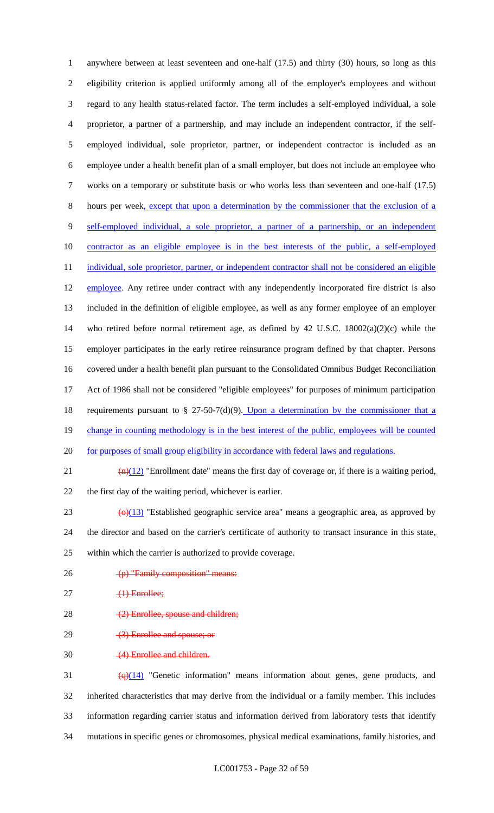anywhere between at least seventeen and one-half (17.5) and thirty (30) hours, so long as this eligibility criterion is applied uniformly among all of the employer's employees and without regard to any health status-related factor. The term includes a self-employed individual, a sole proprietor, a partner of a partnership, and may include an independent contractor, if the self- employed individual, sole proprietor, partner, or independent contractor is included as an employee under a health benefit plan of a small employer, but does not include an employee who works on a temporary or substitute basis or who works less than seventeen and one-half (17.5) hours per week, except that upon a determination by the commissioner that the exclusion of a self-employed individual, a sole proprietor, a partner of a partnership, or an independent contractor as an eligible employee is in the best interests of the public, a self-employed 11 individual, sole proprietor, partner, or independent contractor shall not be considered an eligible 12 employee. Any retiree under contract with any independently incorporated fire district is also included in the definition of eligible employee, as well as any former employee of an employer who retired before normal retirement age, as defined by 42 U.S.C. 18002(a)(2)(c) while the employer participates in the early retiree reinsurance program defined by that chapter. Persons covered under a health benefit plan pursuant to the Consolidated Omnibus Budget Reconciliation Act of 1986 shall not be considered "eligible employees" for purposes of minimum participation 18 requirements pursuant to  $\S$  27-50-7(d)(9). Upon a determination by the commissioner that a 19 change in counting methodology is in the best interest of the public, employees will be counted 20 for purposes of small group eligibility in accordance with federal laws and regulations.  $\frac{(n)(12)}{2}$  "Enrollment date" means the first day of coverage or, if there is a waiting period, the first day of the waiting period, whichever is earlier.  $\left(\frac{\Theta}{13}\right)$  "Established geographic service area" means a geographic area, as approved by the director and based on the carrier's certificate of authority to transact insurance in this state, within which the carrier is authorized to provide coverage. 26 (p) "Family composition" means:  $27 \t\t (1)$  Enrollee; 28 (2) Enrollee, spouse and children; 29 (3) Enrollee and spouse; or (4) Enrollee and children.

 $\left(\frac{q}{14}\right)$  "Genetic information" means information about genes, gene products, and inherited characteristics that may derive from the individual or a family member. This includes information regarding carrier status and information derived from laboratory tests that identify mutations in specific genes or chromosomes, physical medical examinations, family histories, and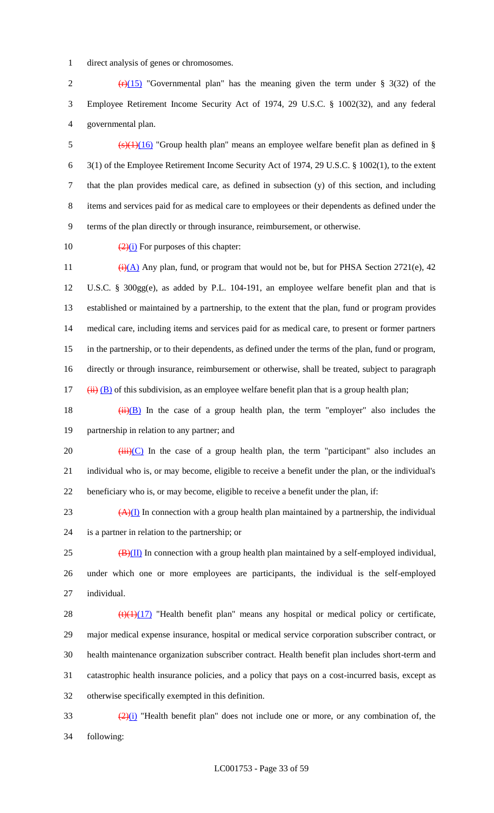direct analysis of genes or chromosomes.

2  $(r)(15)$  "Governmental plan" has the meaning given the term under § 3(32) of the Employee Retirement Income Security Act of 1974, 29 U.S.C. § 1002(32), and any federal governmental plan.

5 (s)(1)(16) "Group health plan" means an employee welfare benefit plan as defined in § 3(1) of the Employee Retirement Income Security Act of 1974, 29 U.S.C. § 1002(1), to the extent that the plan provides medical care, as defined in subsection (y) of this section, and including items and services paid for as medical care to employees or their dependents as defined under the terms of the plan directly or through insurance, reimbursement, or otherwise.

10  $\frac{(2)(i)}{2}$  For purposes of this chapter:

 $(i)(A)$  Any plan, fund, or program that would not be, but for PHSA Section 2721(e), 42 U.S.C. § 300gg(e), as added by P.L. 104-191, an employee welfare benefit plan and that is established or maintained by a partnership, to the extent that the plan, fund or program provides medical care, including items and services paid for as medical care, to present or former partners in the partnership, or to their dependents, as defined under the terms of the plan, fund or program, directly or through insurance, reimbursement or otherwise, shall be treated, subject to paragraph (ii) (B) of this subdivision, as an employee welfare benefit plan that is a group health plan;

18  $(ii)(B)$  In the case of a group health plan, the term "employer" also includes the partnership in relation to any partner; and

20  $(iii)(C)$  In the case of a group health plan, the term "participant" also includes an individual who is, or may become, eligible to receive a benefit under the plan, or the individual's beneficiary who is, or may become, eligible to receive a benefit under the plan, if:

23  $(A)(I)$  In connection with a group health plan maintained by a partnership, the individual is a partner in relation to the partnership; or

 $25 \left( \frac{B}{H} \right)$  In connection with a group health plan maintained by a self-employed individual, under which one or more employees are participants, the individual is the self-employed individual.

 $\left(\frac{t}{(1)(17)}\right)$  "Health benefit plan" means any hospital or medical policy or certificate, major medical expense insurance, hospital or medical service corporation subscriber contract, or health maintenance organization subscriber contract. Health benefit plan includes short-term and catastrophic health insurance policies, and a policy that pays on a cost-incurred basis, except as otherwise specifically exempted in this definition.

 $\frac{(2)(i)}{i}$  "Health benefit plan" does not include one or more, or any combination of, the following: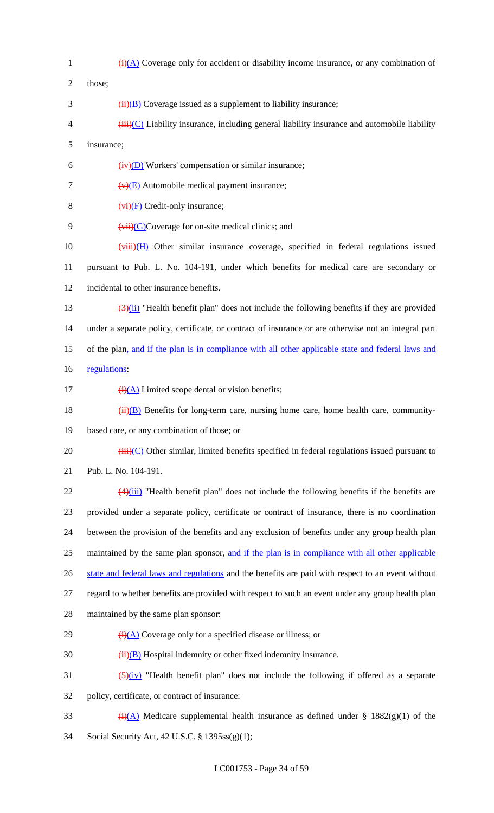$\frac{1}{(i)(A)}$  Coverage only for accident or disability income insurance, or any combination of 2 those;  $\frac{3}{11}(B)$  Coverage issued as a supplement to liability insurance;  $\frac{1}{1}$  (iii)(C) Liability insurance, including general liability insurance and automobile liability insurance;  $(iv)(D)$  Workers' compensation or similar insurance;  $(v)(E)$  Automobile medical payment insurance;  $(v<sub>i</sub>)(F)$  Credit-only insurance;  $(vii)(G)$ Coverage for on-site medical clinics; and  $(viii)(H)$  Other similar insurance coverage, specified in federal regulations issued pursuant to Pub. L. No. 104-191, under which benefits for medical care are secondary or incidental to other insurance benefits.  $\left(\frac{3}{\mu}\right)$  "Health benefit plan" does not include the following benefits if they are provided under a separate policy, certificate, or contract of insurance or are otherwise not an integral part of the plan, and if the plan is in compliance with all other applicable state and federal laws and 16 regulations:  $\frac{1}{(i)(A)}$  Limited scope dental or vision benefits;  $(i)$  ( $(i)$ ) Benefits for long-term care, nursing home care, home health care, community- based care, or any combination of those; or (iii)(C) Other similar, limited benefits specified in federal regulations issued pursuant to Pub. L. No. 104-191.  $\frac{(4)(iii)}{2}$  "Health benefit plan" does not include the following benefits if the benefits are provided under a separate policy, certificate or contract of insurance, there is no coordination between the provision of the benefits and any exclusion of benefits under any group health plan 25 maintained by the same plan sponsor, and if the plan is in compliance with all other applicable 26 state and federal laws and regulations and the benefits are paid with respect to an event without regard to whether benefits are provided with respect to such an event under any group health plan maintained by the same plan sponsor:  $\frac{1}{(i)(A)}$  Coverage only for a specified disease or illness; or  $30 \qquad \qquad \frac{1}{11} \text{(B)}$  Hospital indemnity or other fixed indemnity insurance.  $\left(5\right)(iv)$  "Health benefit plan" does not include the following if offered as a separate policy, certificate, or contract of insurance: 33 (i)(A) Medicare supplemental health insurance as defined under § 1882(g)(1) of the Social Security Act, 42 U.S.C. § 1395ss(g)(1);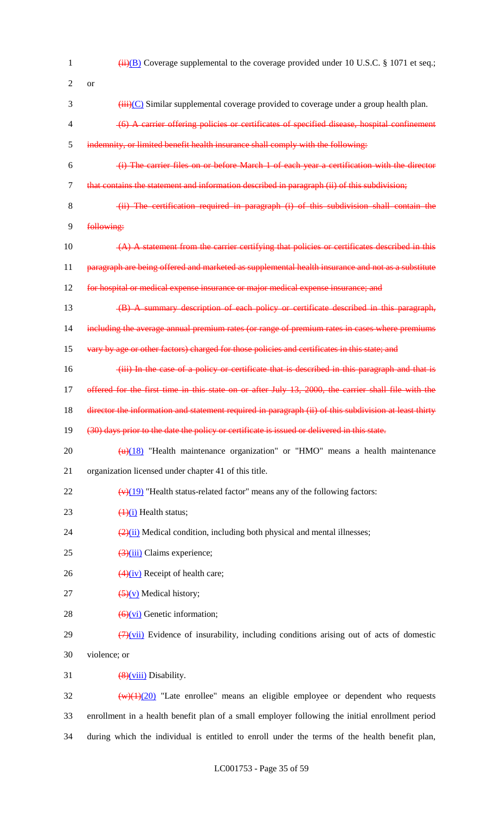| 1              | $\overline{(ii)(B)}$ Coverage supplemental to the coverage provided under 10 U.S.C. § 1071 et seq.;            |
|----------------|----------------------------------------------------------------------------------------------------------------|
| 2              | <b>or</b>                                                                                                      |
| 3              | $\overrightarrow{iii}$ (C) Similar supplemental coverage provided to coverage under a group health plan.       |
| 4              | (6) A carrier offering policies or certificates of specified disease, hospital confinement                     |
| 5              | indemnity, or limited benefit health insurance shall comply with the following:                                |
| 6              | (i) The carrier files on or before March 1 of each year a certification with the director                      |
| $\overline{7}$ | that contains the statement and information described in paragraph (ii) of this subdivision;                   |
| 8              | (ii) The certification required in paragraph (i) of this subdivision shall contain the                         |
| 9              | following:                                                                                                     |
| 10             | $(A)$ A statement from the carrier certifying that policies or certificates described in this                  |
| 11             | paragraph are being offered and marketed as supplemental health insurance and not as a substitute              |
| 12             | for hospital or medical expense insurance or major medical expense insurance; and                              |
| 13             | (B) A summary description of each policy or certificate described in this paragraph,                           |
| 14             | including the average annual premium rates (or range of premium rates in cases where premiums                  |
| 15             | vary by age or other factors) charged for those policies and certificates in this state; and                   |
| 16             | (iii) In the case of a policy or certificate that is described in this paragraph and that is                   |
| 17             | offered for the first time in this state on or after July 13, 2000, the carrier shall file with the            |
| 18             | director the information and statement required in paragraph (ii) of this subdivision at least thirty          |
| 19             | (30) days prior to the date the policy or certificate is issued or delivered in this state.                    |
| 20             | $\frac{H}{H}$ "Health maintenance organization" or "HMO" means a health maintenance                            |
| 21             | organization licensed under chapter 41 of this title.                                                          |
| 22             | $\frac{(\mathbf{v})(19)}{(\mathbf{v})(19)}$ "Health status-related factor" means any of the following factors: |
| 23             | $\frac{1}{1}$ Health status;                                                                                   |
| 24             | $\frac{2}{2}$ (ii) Medical condition, including both physical and mental illnesses;                            |
| 25             | $\frac{3}{(3)(iii)}$ Claims experience;                                                                        |
| 26             | $\frac{4}{1}$ Receipt of health care;                                                                          |
| 27             | $\left(\frac{5}{y}\right)$ Medical history;                                                                    |
| 28             | $\left(\frac{6}{v} \right)$ Genetic information;                                                               |
| 29             | $\left(\frac{7}{2}\right)$ Evidence of insurability, including conditions arising out of acts of domestic      |
| 30             | violence; or                                                                                                   |
| 31             | $\frac{8}{2}$ Viii) Disability.                                                                                |
| 32             | $\frac{w(1)(20)}{w(1)(20)}$ "Late enrollee" means an eligible employee or dependent who requests               |
| 33             | enrollment in a health benefit plan of a small employer following the initial enrollment period                |
| 34             | during which the individual is entitled to enroll under the terms of the health benefit plan,                  |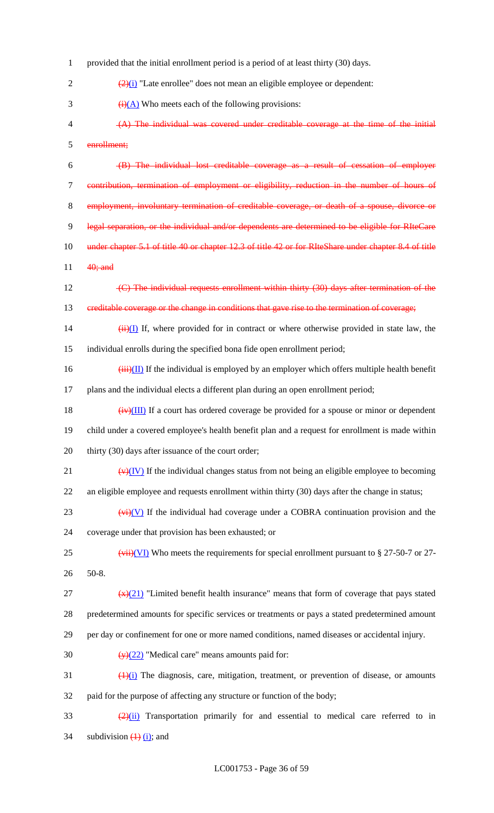provided that the initial enrollment period is a period of at least thirty (30) days.  $\frac{(2)(i)}{2}$  "Late enrollee" does not mean an eligible employee or dependent:  $(i)(A)$  Who meets each of the following provisions: (A) The individual was covered under creditable coverage at the time of the initial enrollment; (B) The individual lost creditable coverage as a result of cessation of employer contribution, termination of employment or eligibility, reduction in the number of hours of 8 employment, involuntary termination of creditable coverage, or death of a spouse, divorce 9 legal separation, or the individual and/or dependents are determined to be eligible for RIteCare 10 under chapter 5.1 of title 40 or chapter 12.3 of title 42 or for RIteShare under chapter 8.4 of title 11 **40**; and 12 (C) The individual requests enrollment within thirty (30) days after termination of the 13 creditable coverage or the change in conditions that gave rise to the termination of coverage;  $(iii)(I)$  If, where provided for in contract or where otherwise provided in state law, the individual enrolls during the specified bona fide open enrollment period;  $(iii)(II)$  If the individual is employed by an employer which offers multiple health benefit plans and the individual elects a different plan during an open enrollment period;  $(iv)(III)$  If a court has ordered coverage be provided for a spouse or minor or dependent child under a covered employee's health benefit plan and a request for enrollment is made within 20 thirty (30) days after issuance of the court order;  $(v)(IV)$  If the individual changes status from not being an eligible employee to becoming an eligible employee and requests enrollment within thirty (30) days after the change in status;  $(v<sub>i</sub>)$  (V) If the individual had coverage under a COBRA continuation provision and the coverage under that provision has been exhausted; or 25 (vii)(VI) Who meets the requirements for special enrollment pursuant to § 27-50-7 or 27-26 50-8.  $\frac{f(x)}{21}$  "Limited benefit health insurance" means that form of coverage that pays stated predetermined amounts for specific services or treatments or pays a stated predetermined amount per day or confinement for one or more named conditions, named diseases or accidental injury.  $\left(\frac{y}{22}\right)$  "Medical care" means amounts paid for:  $\frac{(1)(i)}{i}$  The diagnosis, care, mitigation, treatment, or prevention of disease, or amounts paid for the purpose of affecting any structure or function of the body;  $\frac{(2)(ii)}{(2)(ii)}$  Transportation primarily for and essential to medical care referred to in 34 subdivision  $\overline{(1)}$   $\overline{(i)}$ ; and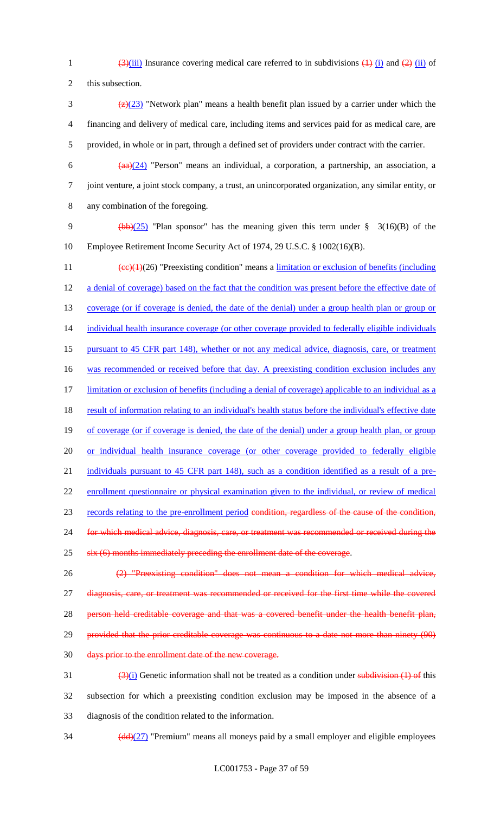1  $\frac{3}{\sinh(\frac{3}{\sinh(\frac{1}{\cosh(\frac{1}{\cosh(\frac{1}{\cosh(\frac{1}{\cosh(\frac{1}{\cosh(\frac{1}{\cosh(\frac{1}{\cosh(\frac{1}{\cosh(\frac{1}{\cosh(\frac{1}{\cosh(\frac{1}{\cosh(\frac{1}{\cosh(\frac{1}{\cosh(\frac{1}{\cosh(\frac{1}{\cosh(\frac{1}{\cosh(\frac{1}{\cosh(\frac{1}{\cosh(\frac{1}{\cosh(\frac{1}{\cosh(\frac{1}{\cosh(\frac{1}{\cosh(\frac{1}{\cosh(\frac{1}{\cosh(\frac{1}{\cosh(\frac$ 

2 this subsection.

- 3  $\frac{72}{23}$  "Network plan" means a health benefit plan issued by a carrier under which the 4 financing and delivery of medical care, including items and services paid for as medical care, are 5 provided, in whole or in part, through a defined set of providers under contract with the carrier.
	-

6  $(aa)(24)$  "Person" means an individual, a corporation, a partnership, an association, a 7 joint venture, a joint stock company, a trust, an unincorporated organization, any similar entity, or 8 any combination of the foregoing.

9 (bb)( $25$ ) "Plan sponsor" has the meaning given this term under § 3(16)(B) of the 10 Employee Retirement Income Security Act of 1974, 29 U.S.C. § 1002(16)(B).

11  $\text{(ce)}(1)(26)$  "Preexisting condition" means a <u>limitation or exclusion of benefits (including</u> 12 a denial of coverage) based on the fact that the condition was present before the effective date of 13 coverage (or if coverage is denied, the date of the denial) under a group health plan or group or 14 individual health insurance coverage (or other coverage provided to federally eligible individuals 15 pursuant to 45 CFR part 148), whether or not any medical advice, diagnosis, care, or treatment 16 was recommended or received before that day. A preexisting condition exclusion includes any 17 limitation or exclusion of benefits (including a denial of coverage) applicable to an individual as a 18 result of information relating to an individual's health status before the individual's effective date 19 of coverage (or if coverage is denied, the date of the denial) under a group health plan, or group 20 or individual health insurance coverage (or other coverage provided to federally eligible 21 individuals pursuant to 45 CFR part 148), such as a condition identified as a result of a pre-22 enrollment questionnaire or physical examination given to the individual, or review of medical 23 records relating to the pre-enrollment period condition, regardless of the cause of the condition, 24 for which medical advice, diagnosis, care, or treatment was recommended or received during the 25 six (6) months immediately preceding the enrollment date of the coverage. 26 (2) "Preexisting condition" does not mean a condition for which medical advice, 27 diagnosis, care, or treatment was recommended or received for the first time while the covered

28 person held creditable coverage and that was a covered benefit under the health benefit plan,

29 provided that the prior creditable coverage was continuous to a date not more than ninety (90)

30 days prior to the enrollment date of the new coverage.

 $\frac{(3)(i)}{i}$  Genetic information shall not be treated as a condition under subdivision (1) of this 32 subsection for which a preexisting condition exclusion may be imposed in the absence of a 33 diagnosis of the condition related to the information.

 $\frac{(\text{dd}) (27)}{(\text{dd}) (27)}$  "Premium" means all moneys paid by a small employer and eligible employees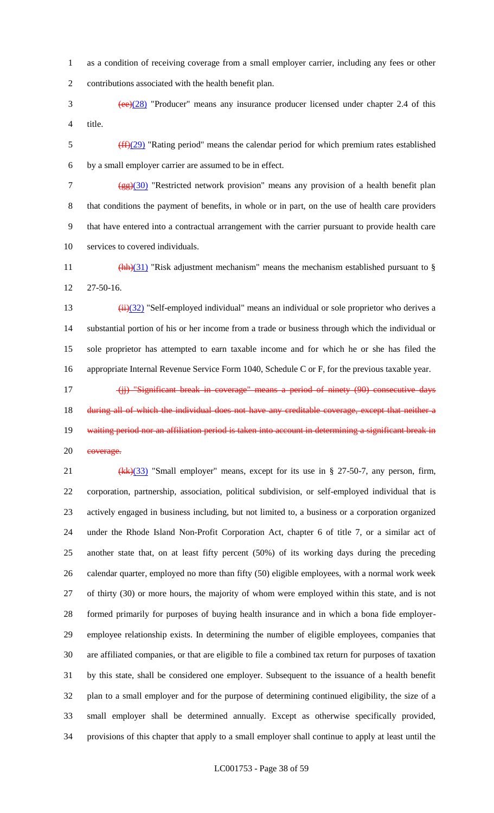as a condition of receiving coverage from a small employer carrier, including any fees or other contributions associated with the health benefit plan.

 (ee)(28) "Producer" means any insurance producer licensed under chapter 2.4 of this title.

 (ff)(29) "Rating period" means the calendar period for which premium rates established by a small employer carrier are assumed to be in effect.

7 (gg)(30) "Restricted network provision" means any provision of a health benefit plan that conditions the payment of benefits, in whole or in part, on the use of health care providers that have entered into a contractual arrangement with the carrier pursuant to provide health care services to covered individuals.

11  $\frac{(\text{hh})(31)}{(\text{hh})(31)}$  "Risk adjustment mechanism" means the mechanism established pursuant to § 27-50-16.

 $(iii)(32)$  "Self-employed individual" means an individual or sole proprietor who derives a substantial portion of his or her income from a trade or business through which the individual or sole proprietor has attempted to earn taxable income and for which he or she has filed the appropriate Internal Revenue Service Form 1040, Schedule C or F, for the previous taxable year.

17 (ii) "Significant break in coverage" means a period of ninety (90) consecutive days 18 during all of which the individual does not have any creditable coverage, except that neither a 19 waiting period nor an affiliation period is taken into account in determining a significant break in 20 eoverage.

21 (kk)(33) "Small employer" means, except for its use in § 27-50-7, any person, firm, corporation, partnership, association, political subdivision, or self-employed individual that is actively engaged in business including, but not limited to, a business or a corporation organized under the Rhode Island Non-Profit Corporation Act, chapter 6 of title 7, or a similar act of another state that, on at least fifty percent (50%) of its working days during the preceding calendar quarter, employed no more than fifty (50) eligible employees, with a normal work week of thirty (30) or more hours, the majority of whom were employed within this state, and is not formed primarily for purposes of buying health insurance and in which a bona fide employer- employee relationship exists. In determining the number of eligible employees, companies that are affiliated companies, or that are eligible to file a combined tax return for purposes of taxation by this state, shall be considered one employer. Subsequent to the issuance of a health benefit plan to a small employer and for the purpose of determining continued eligibility, the size of a small employer shall be determined annually. Except as otherwise specifically provided, provisions of this chapter that apply to a small employer shall continue to apply at least until the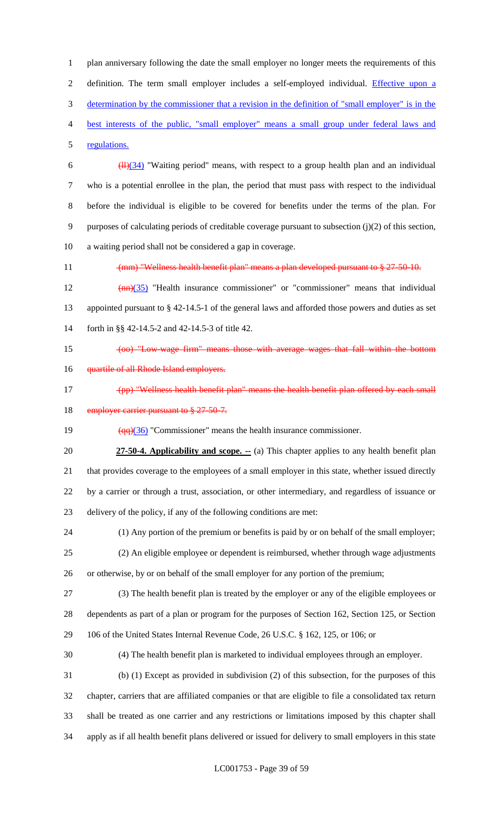plan anniversary following the date the small employer no longer meets the requirements of this 2 definition. The term small employer includes a self-employed individual. Effective upon a determination by the commissioner that a revision in the definition of "small employer" is in the best interests of the public, "small employer" means a small group under federal laws and regulations.

 $\frac{(11)(34)}{11}$  "Waiting period" means, with respect to a group health plan and an individual who is a potential enrollee in the plan, the period that must pass with respect to the individual before the individual is eligible to be covered for benefits under the terms of the plan. For purposes of calculating periods of creditable coverage pursuant to subsection (j)(2) of this section, a waiting period shall not be considered a gap in coverage.

11 (mm) "Wellness health benefit plan" means a plan developed pursuant to § 27-50-10.

12  $(mn)(35)$  "Health insurance commissioner" or "commissioner" means that individual appointed pursuant to § 42-14.5-1 of the general laws and afforded those powers and duties as set forth in §§ 42-14.5-2 and 42-14.5-3 of title 42.

15 (oo) "Low-wage firm" means those with average wages that fall within the bottom

- **quartile of all Rhode Island employers.**
- (pp) "Wellness health benefit plan" means the health benefit plan offered by each small 18 employer carrier pursuant to § 27-50-7.

19  $\left(\frac{qq}{36}\right)$  "Commissioner" means the health insurance commissioner.

**27-50-4. Applicability and scope.** -- (a) This chapter applies to any health benefit plan that provides coverage to the employees of a small employer in this state, whether issued directly by a carrier or through a trust, association, or other intermediary, and regardless of issuance or delivery of the policy, if any of the following conditions are met:

 (1) Any portion of the premium or benefits is paid by or on behalf of the small employer; (2) An eligible employee or dependent is reimbursed, whether through wage adjustments or otherwise, by or on behalf of the small employer for any portion of the premium;

 (3) The health benefit plan is treated by the employer or any of the eligible employees or dependents as part of a plan or program for the purposes of Section 162, Section 125, or Section 106 of the United States Internal Revenue Code, 26 U.S.C. § 162, 125, or 106; or

(4) The health benefit plan is marketed to individual employees through an employer.

 (b) (1) Except as provided in subdivision (2) of this subsection, for the purposes of this chapter, carriers that are affiliated companies or that are eligible to file a consolidated tax return shall be treated as one carrier and any restrictions or limitations imposed by this chapter shall apply as if all health benefit plans delivered or issued for delivery to small employers in this state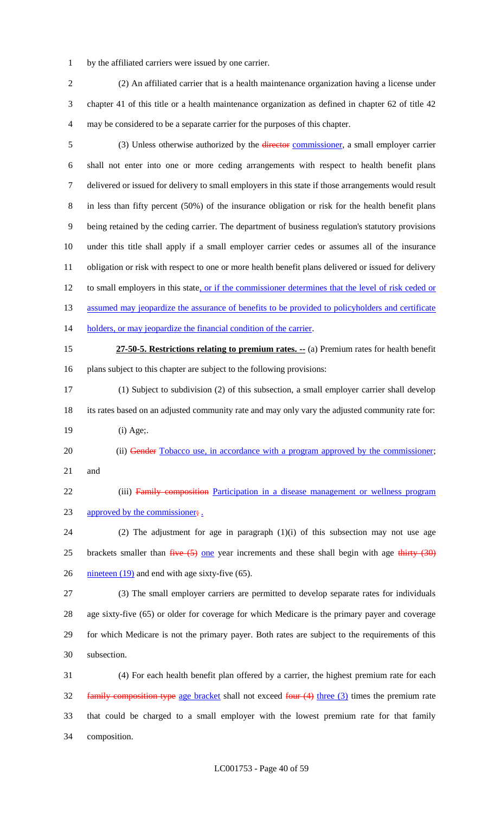by the affiliated carriers were issued by one carrier.

 (2) An affiliated carrier that is a health maintenance organization having a license under chapter 41 of this title or a health maintenance organization as defined in chapter 62 of title 42 may be considered to be a separate carrier for the purposes of this chapter.

5 (3) Unless otherwise authorized by the *director commissioner*, a small employer carrier shall not enter into one or more ceding arrangements with respect to health benefit plans delivered or issued for delivery to small employers in this state if those arrangements would result in less than fifty percent (50%) of the insurance obligation or risk for the health benefit plans being retained by the ceding carrier. The department of business regulation's statutory provisions under this title shall apply if a small employer carrier cedes or assumes all of the insurance obligation or risk with respect to one or more health benefit plans delivered or issued for delivery 12 to small employers in this state, or if the commissioner determines that the level of risk ceded or 13 assumed may jeopardize the assurance of benefits to be provided to policyholders and certificate 14 holders, or may jeopardize the financial condition of the carrier. **27-50-5. Restrictions relating to premium rates. --** (a) Premium rates for health benefit plans subject to this chapter are subject to the following provisions: (1) Subject to subdivision (2) of this subsection, a small employer carrier shall develop its rates based on an adjusted community rate and may only vary the adjusted community rate for: (i) Age;. 20 (ii) Gender Tobacco use, in accordance with a program approved by the commissioner; and 22 (iii) Family composition Participation in a disease management or wellness program 23 approved by the commissioner; (2) The adjustment for age in paragraph (1)(i) of this subsection may not use age 25 brackets smaller than  $f^2$  one year increments and these shall begin with age thirty  $(30)$  $\frac{\text{mineteen } (19)}{\text{and end with age sixty-five } (65)}$ . (3) The small employer carriers are permitted to develop separate rates for individuals age sixty-five (65) or older for coverage for which Medicare is the primary payer and coverage for which Medicare is not the primary payer. Both rates are subject to the requirements of this subsection. (4) For each health benefit plan offered by a carrier, the highest premium rate for each

32 family composition type age bracket shall not exceed four (4) three (3) times the premium rate that could be charged to a small employer with the lowest premium rate for that family composition.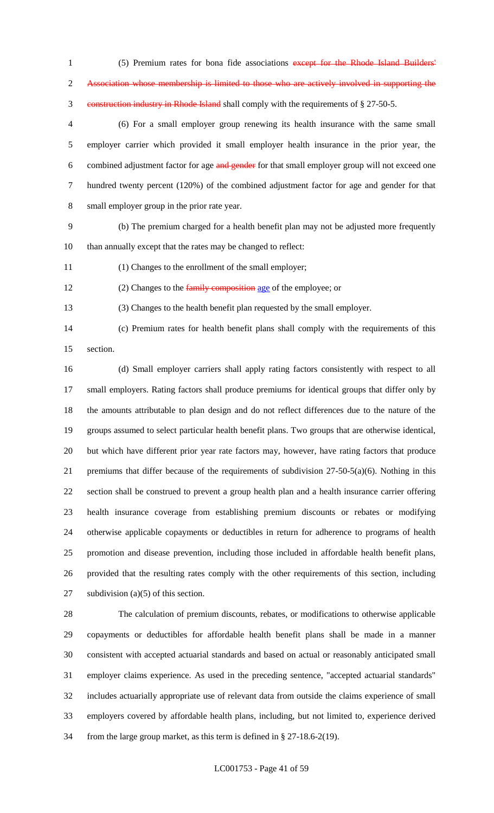1 (5) Premium rates for bona fide associations except for the Rhode Island Builders' Association whose membership is limited to those who are actively involved in supporting the construction industry in Rhode Island shall comply with the requirements of § 27-50-5.

 (6) For a small employer group renewing its health insurance with the same small employer carrier which provided it small employer health insurance in the prior year, the 6 combined adjustment factor for age and gender for that small employer group will not exceed one hundred twenty percent (120%) of the combined adjustment factor for age and gender for that small employer group in the prior rate year.

 (b) The premium charged for a health benefit plan may not be adjusted more frequently than annually except that the rates may be changed to reflect:

(1) Changes to the enrollment of the small employer;

12 (2) Changes to the family composition age of the employee; or

(3) Changes to the health benefit plan requested by the small employer.

 (c) Premium rates for health benefit plans shall comply with the requirements of this section.

 (d) Small employer carriers shall apply rating factors consistently with respect to all small employers. Rating factors shall produce premiums for identical groups that differ only by the amounts attributable to plan design and do not reflect differences due to the nature of the groups assumed to select particular health benefit plans. Two groups that are otherwise identical, but which have different prior year rate factors may, however, have rating factors that produce premiums that differ because of the requirements of subdivision 27-50-5(a)(6). Nothing in this section shall be construed to prevent a group health plan and a health insurance carrier offering health insurance coverage from establishing premium discounts or rebates or modifying otherwise applicable copayments or deductibles in return for adherence to programs of health promotion and disease prevention, including those included in affordable health benefit plans, provided that the resulting rates comply with the other requirements of this section, including 27 subdivision (a)(5) of this section.

 The calculation of premium discounts, rebates, or modifications to otherwise applicable copayments or deductibles for affordable health benefit plans shall be made in a manner consistent with accepted actuarial standards and based on actual or reasonably anticipated small employer claims experience. As used in the preceding sentence, "accepted actuarial standards" includes actuarially appropriate use of relevant data from outside the claims experience of small employers covered by affordable health plans, including, but not limited to, experience derived from the large group market, as this term is defined in § 27-18.6-2(19).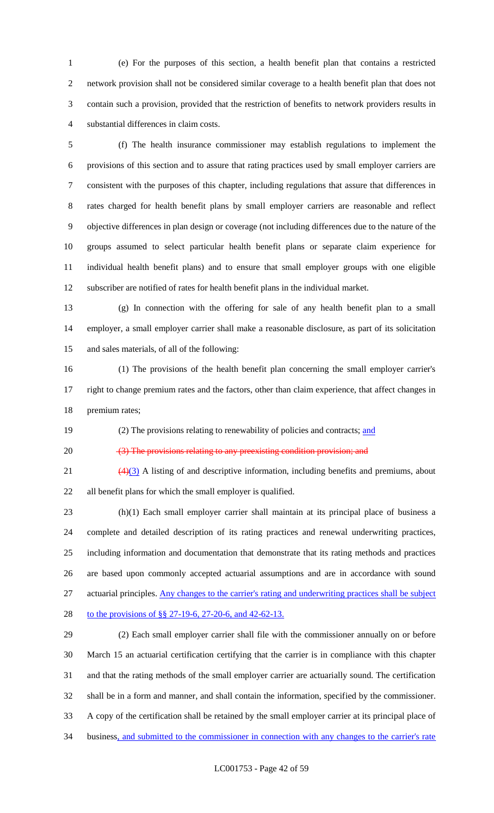(e) For the purposes of this section, a health benefit plan that contains a restricted network provision shall not be considered similar coverage to a health benefit plan that does not contain such a provision, provided that the restriction of benefits to network providers results in substantial differences in claim costs.

 (f) The health insurance commissioner may establish regulations to implement the provisions of this section and to assure that rating practices used by small employer carriers are consistent with the purposes of this chapter, including regulations that assure that differences in rates charged for health benefit plans by small employer carriers are reasonable and reflect objective differences in plan design or coverage (not including differences due to the nature of the groups assumed to select particular health benefit plans or separate claim experience for individual health benefit plans) and to ensure that small employer groups with one eligible subscriber are notified of rates for health benefit plans in the individual market.

 (g) In connection with the offering for sale of any health benefit plan to a small employer, a small employer carrier shall make a reasonable disclosure, as part of its solicitation and sales materials, of all of the following:

 (1) The provisions of the health benefit plan concerning the small employer carrier's right to change premium rates and the factors, other than claim experience, that affect changes in premium rates;

19 (2) The provisions relating to renewability of policies and contracts; and

20 (3) The provisions relating to any preexisting condition provision; and

 $\left(\frac{4}{3}\right)$  A listing of and descriptive information, including benefits and premiums, about all benefit plans for which the small employer is qualified.

 (h)(1) Each small employer carrier shall maintain at its principal place of business a complete and detailed description of its rating practices and renewal underwriting practices, including information and documentation that demonstrate that its rating methods and practices are based upon commonly accepted actuarial assumptions and are in accordance with sound actuarial principles. Any changes to the carrier's rating and underwriting practices shall be subject 28 to the provisions of §§ 27-19-6, 27-20-6, and 42-62-13.

 (2) Each small employer carrier shall file with the commissioner annually on or before March 15 an actuarial certification certifying that the carrier is in compliance with this chapter and that the rating methods of the small employer carrier are actuarially sound. The certification shall be in a form and manner, and shall contain the information, specified by the commissioner. A copy of the certification shall be retained by the small employer carrier at its principal place of 34 business, and submitted to the commissioner in connection with any changes to the carrier's rate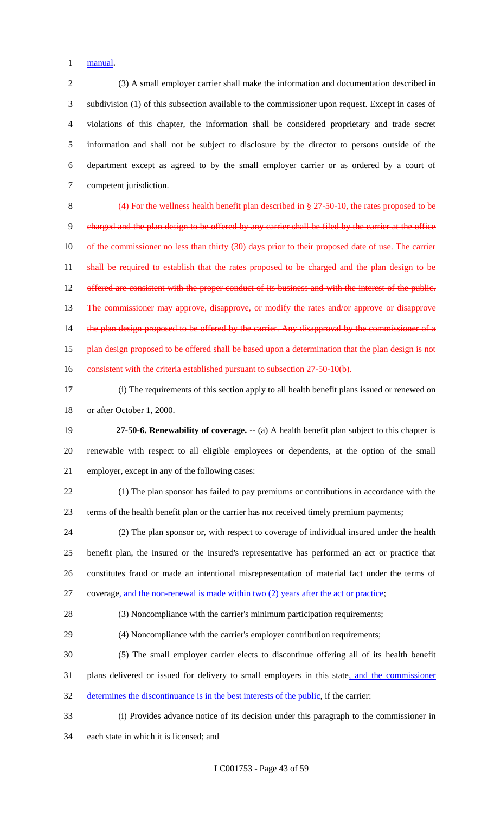manual.

 (3) A small employer carrier shall make the information and documentation described in subdivision (1) of this subsection available to the commissioner upon request. Except in cases of violations of this chapter, the information shall be considered proprietary and trade secret information and shall not be subject to disclosure by the director to persons outside of the department except as agreed to by the small employer carrier or as ordered by a court of competent jurisdiction.

 (4) For the wellness health benefit plan described in § 27-50-10, the rates proposed to be charged and the plan design to be offered by any carrier shall be filed by the carrier at the office 10 of the commissioner no less than thirty (30) days prior to their proposed date of use. The carrier 11 shall be required to establish that the rates proposed to be charged and the plan design to be 12 offered are consistent with the proper conduct of its business and with the interest of the public. The commissioner may approve, disapprove, or modify the rates and/or approve or disapprove 14 the plan design proposed to be offered by the carrier. Any disapproval by the commissioner of a 15 plan design proposed to be offered shall be based upon a determination that the plan design is not 16 consistent with the criteria established pursuant to subsection 27-50-10(b).

 (i) The requirements of this section apply to all health benefit plans issued or renewed on or after October 1, 2000.

 **27-50-6. Renewability of coverage. --** (a) A health benefit plan subject to this chapter is renewable with respect to all eligible employees or dependents, at the option of the small employer, except in any of the following cases:

 (1) The plan sponsor has failed to pay premiums or contributions in accordance with the terms of the health benefit plan or the carrier has not received timely premium payments;

 (2) The plan sponsor or, with respect to coverage of individual insured under the health benefit plan, the insured or the insured's representative has performed an act or practice that constitutes fraud or made an intentional misrepresentation of material fact under the terms of coverage, and the non-renewal is made within two (2) years after the act or practice;

(3) Noncompliance with the carrier's minimum participation requirements;

(4) Noncompliance with the carrier's employer contribution requirements;

 (5) The small employer carrier elects to discontinue offering all of its health benefit 31 plans delivered or issued for delivery to small employers in this state, and the commissioner

determines the discontinuance is in the best interests of the public, if the carrier:

 (i) Provides advance notice of its decision under this paragraph to the commissioner in each state in which it is licensed; and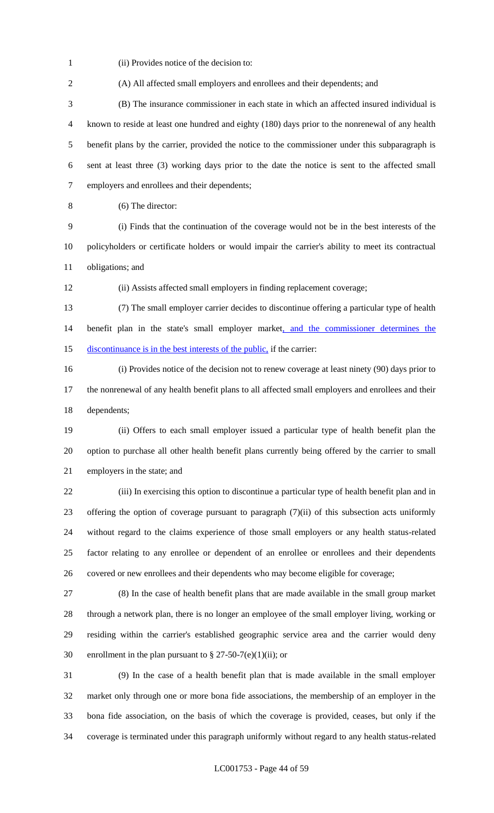(ii) Provides notice of the decision to:

 (B) The insurance commissioner in each state in which an affected insured individual is known to reside at least one hundred and eighty (180) days prior to the nonrenewal of any health benefit plans by the carrier, provided the notice to the commissioner under this subparagraph is sent at least three (3) working days prior to the date the notice is sent to the affected small employers and enrollees and their dependents;

(A) All affected small employers and enrollees and their dependents; and

(6) The director:

 (i) Finds that the continuation of the coverage would not be in the best interests of the policyholders or certificate holders or would impair the carrier's ability to meet its contractual obligations; and

(ii) Assists affected small employers in finding replacement coverage;

 (7) The small employer carrier decides to discontinue offering a particular type of health 14 benefit plan in the state's small employer market, and the commissioner determines the 15 discontinuance is in the best interests of the public, if the carrier:

 (i) Provides notice of the decision not to renew coverage at least ninety (90) days prior to the nonrenewal of any health benefit plans to all affected small employers and enrollees and their dependents;

 (ii) Offers to each small employer issued a particular type of health benefit plan the option to purchase all other health benefit plans currently being offered by the carrier to small employers in the state; and

 (iii) In exercising this option to discontinue a particular type of health benefit plan and in offering the option of coverage pursuant to paragraph (7)(ii) of this subsection acts uniformly without regard to the claims experience of those small employers or any health status-related factor relating to any enrollee or dependent of an enrollee or enrollees and their dependents covered or new enrollees and their dependents who may become eligible for coverage;

 (8) In the case of health benefit plans that are made available in the small group market through a network plan, there is no longer an employee of the small employer living, working or residing within the carrier's established geographic service area and the carrier would deny 30 enrollment in the plan pursuant to  $\S 27-50-7(e)(1)(ii)$ ; or

 (9) In the case of a health benefit plan that is made available in the small employer market only through one or more bona fide associations, the membership of an employer in the bona fide association, on the basis of which the coverage is provided, ceases, but only if the coverage is terminated under this paragraph uniformly without regard to any health status-related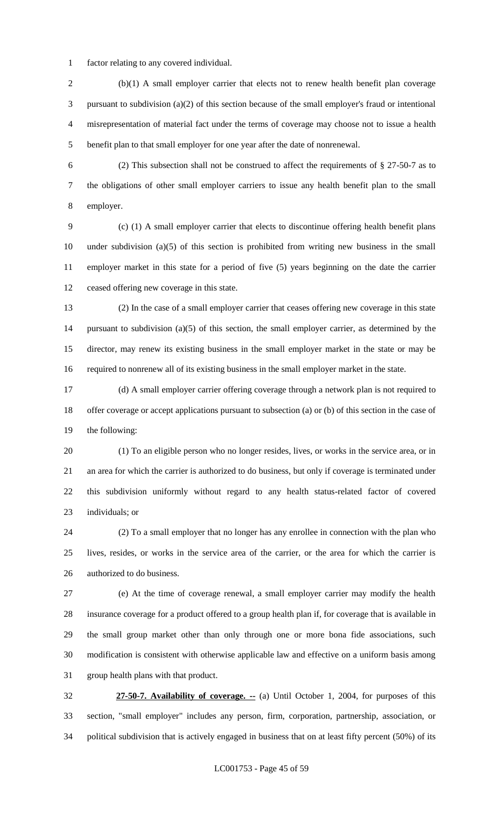factor relating to any covered individual.

 (b)(1) A small employer carrier that elects not to renew health benefit plan coverage pursuant to subdivision (a)(2) of this section because of the small employer's fraud or intentional misrepresentation of material fact under the terms of coverage may choose not to issue a health benefit plan to that small employer for one year after the date of nonrenewal.

 (2) This subsection shall not be construed to affect the requirements of § 27-50-7 as to the obligations of other small employer carriers to issue any health benefit plan to the small employer.

 (c) (1) A small employer carrier that elects to discontinue offering health benefit plans under subdivision (a)(5) of this section is prohibited from writing new business in the small employer market in this state for a period of five (5) years beginning on the date the carrier ceased offering new coverage in this state.

 (2) In the case of a small employer carrier that ceases offering new coverage in this state pursuant to subdivision (a)(5) of this section, the small employer carrier, as determined by the director, may renew its existing business in the small employer market in the state or may be required to nonrenew all of its existing business in the small employer market in the state.

 (d) A small employer carrier offering coverage through a network plan is not required to offer coverage or accept applications pursuant to subsection (a) or (b) of this section in the case of the following:

 (1) To an eligible person who no longer resides, lives, or works in the service area, or in an area for which the carrier is authorized to do business, but only if coverage is terminated under this subdivision uniformly without regard to any health status-related factor of covered individuals; or

 (2) To a small employer that no longer has any enrollee in connection with the plan who lives, resides, or works in the service area of the carrier, or the area for which the carrier is authorized to do business.

 (e) At the time of coverage renewal, a small employer carrier may modify the health insurance coverage for a product offered to a group health plan if, for coverage that is available in the small group market other than only through one or more bona fide associations, such modification is consistent with otherwise applicable law and effective on a uniform basis among group health plans with that product.

 **27-50-7. Availability of coverage. --** (a) Until October 1, 2004, for purposes of this section, "small employer" includes any person, firm, corporation, partnership, association, or political subdivision that is actively engaged in business that on at least fifty percent (50%) of its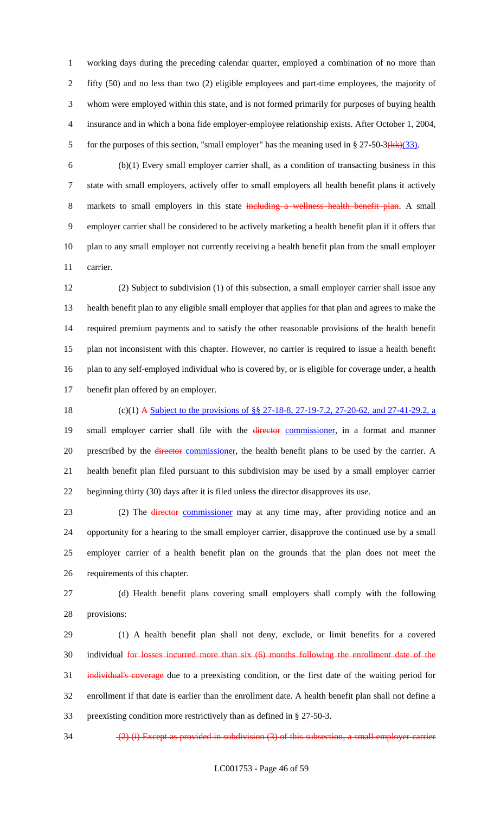working days during the preceding calendar quarter, employed a combination of no more than fifty (50) and no less than two (2) eligible employees and part-time employees, the majority of whom were employed within this state, and is not formed primarily for purposes of buying health insurance and in which a bona fide employer-employee relationship exists. After October 1, 2004, 5 for the purposes of this section, "small employer" has the meaning used in  $\S 27-50-3(kk)(33)$ .

 (b)(1) Every small employer carrier shall, as a condition of transacting business in this state with small employers, actively offer to small employers all health benefit plans it actively 8 markets to small employers in this state including a wellness health benefit plan. A small employer carrier shall be considered to be actively marketing a health benefit plan if it offers that plan to any small employer not currently receiving a health benefit plan from the small employer carrier.

 (2) Subject to subdivision (1) of this subsection, a small employer carrier shall issue any health benefit plan to any eligible small employer that applies for that plan and agrees to make the required premium payments and to satisfy the other reasonable provisions of the health benefit plan not inconsistent with this chapter. However, no carrier is required to issue a health benefit plan to any self-employed individual who is covered by, or is eligible for coverage under, a health benefit plan offered by an employer.

18 (c)(1) A <u>Subject to the provisions of §§ 27-18-8, 27-19-7.2, 27-20-62, and 27-41-29.2, a</u> 19 small employer carrier shall file with the *director* commissioner, in a format and manner 20 prescribed by the *director* commissioner, the health benefit plans to be used by the carrier. A health benefit plan filed pursuant to this subdivision may be used by a small employer carrier beginning thirty (30) days after it is filed unless the director disapproves its use.

23 (2) The <del>director</del> commissioner may at any time may, after providing notice and an opportunity for a hearing to the small employer carrier, disapprove the continued use by a small employer carrier of a health benefit plan on the grounds that the plan does not meet the requirements of this chapter.

 (d) Health benefit plans covering small employers shall comply with the following provisions:

 (1) A health benefit plan shall not deny, exclude, or limit benefits for a covered 30 individual for losses incurred more than six (6) months following the enrollment date of the individual's coverage due to a preexisting condition, or the first date of the waiting period for enrollment if that date is earlier than the enrollment date. A health benefit plan shall not define a preexisting condition more restrictively than as defined in § 27-50-3.

34  $(2)$  (i) Except as provided in subdivision (3) of this subsection, a small employer carrier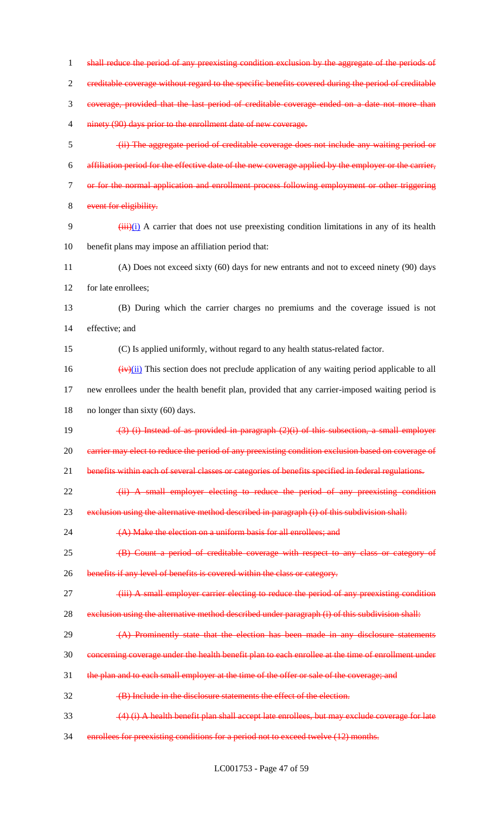1 shall reduce the period of any preexisting condition exclusion by the aggregate of the periods of creditable coverage without regard to the specific benefits covered during the period of creditable coverage, provided that the last period of creditable coverage ended on a date not more than 4 ninety (90) days prior to the enrollment date of new coverage. (ii) The aggregate period of creditable coverage does not include any waiting period or affiliation period for the effective date of the new coverage applied by the employer or the carrier, or for the normal application and enrollment process following employment or other triggering 8 event for eligibility.  $(iii)(i)$  A carrier that does not use preexisting condition limitations in any of its health benefit plans may impose an affiliation period that: (A) Does not exceed sixty (60) days for new entrants and not to exceed ninety (90) days for late enrollees; (B) During which the carrier charges no premiums and the coverage issued is not effective; and (C) Is applied uniformly, without regard to any health status-related factor.  $\frac{16}{2}$  (iv)(ii) This section does not preclude application of any waiting period applicable to all new enrollees under the health benefit plan, provided that any carrier-imposed waiting period is no longer than sixty (60) days. (3) (i) Instead of as provided in paragraph (2)(i) of this subsection, a small employer 20 carrier may elect to reduce the period of any preexisting condition exclusion based on coverage of 21 benefits within each of several classes or categories of benefits specified in federal regulations. 22 (ii) A small employer electing to reduce the period of any preexisting condition 23 exclusion using the alternative method described in paragraph (i) of this subdivision shall: (A) Make the election on a uniform basis for all enrollees; and (B) Count a period of creditable coverage with respect to any class or category of benefits if any level of benefits is covered within the class or category. 27 (iii) A small employer carrier electing to reduce the period of any preexisting condition 28 exclusion using the alternative method described under paragraph (i) of this subdivision shall: 29 (A) Prominently state that the election has been made in any disclosure statements concerning coverage under the health benefit plan to each enrollee at the time of enrollment under 31 the plan and to each small employer at the time of the offer or sale of the coverage; and (B) Include in the disclosure statements the effect of the election. 33 (4) (i) A health benefit plan shall accept late enrollees, but may exclude coverage for late enrollees for preexisting conditions for a period not to exceed twelve (12) months.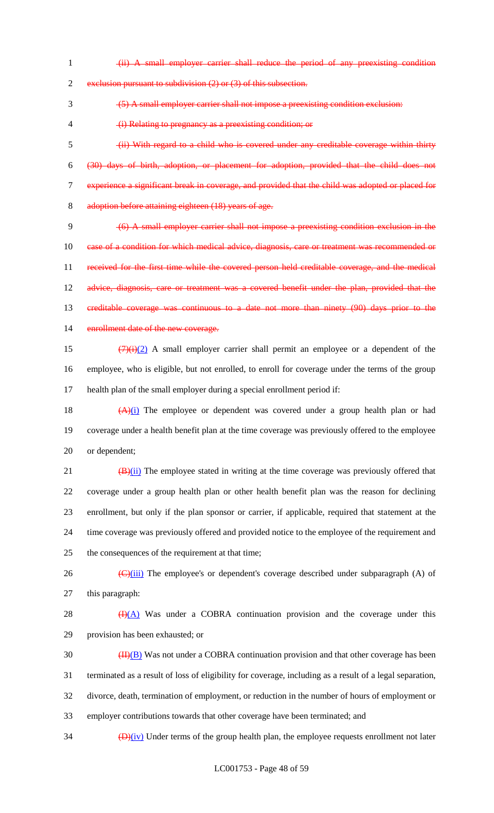(ii) A small employer carrier shall reduce the period of any preexisting condition

2 exclusion pursuant to subdivision (2) or (3) of this subsection.

(5) A small employer carrier shall not impose a preexisting condition exclusion:

(i) Relating to pregnancy as a preexisting condition; or

 (ii) With regard to a child who is covered under any creditable coverage within thirty (30) days of birth, adoption, or placement for adoption, provided that the child does not experience a significant break in coverage, and provided that the child was adopted or placed for adoption before attaining eighteen (18) years of age.

 (6) A small employer carrier shall not impose a preexisting condition exclusion in the 10 ease of a condition for which medical advice, diagnosis, care or treatment was recommended or received for the first time while the covered person held creditable coverage, and the medical 12 advice, diagnosis, care or treatment was a covered benefit under the plan, provided that the creditable coverage was continuous to a date not more than ninety (90) days prior to the 14 enrollment date of the new coverage.

15  $(7)(i)(2)$  A small employer carrier shall permit an employee or a dependent of the employee, who is eligible, but not enrolled, to enroll for coverage under the terms of the group health plan of the small employer during a special enrollment period if:

18  $(A)(i)$  The employee or dependent was covered under a group health plan or had coverage under a health benefit plan at the time coverage was previously offered to the employee or dependent;

 $(B)(ii)$  The employee stated in writing at the time coverage was previously offered that coverage under a group health plan or other health benefit plan was the reason for declining enrollment, but only if the plan sponsor or carrier, if applicable, required that statement at the time coverage was previously offered and provided notice to the employee of the requirement and the consequences of the requirement at that time;

26  $\left(\frac{C}{\text{(iii)}}\right)$  The employee's or dependent's coverage described under subparagraph (A) of this paragraph:

28  $\bigoplus$  (A) Was under a COBRA continuation provision and the coverage under this provision has been exhausted; or

 $\frac{(\text{II})(\text{B})}{(\text{II})(\text{B})}$  Was not under a COBRA continuation provision and that other coverage has been terminated as a result of loss of eligibility for coverage, including as a result of a legal separation, divorce, death, termination of employment, or reduction in the number of hours of employment or employer contributions towards that other coverage have been terminated; and

 $\frac{1}{2}$   $\frac{1}{2}$   $\frac{1}{2}$  Under terms of the group health plan, the employee requests enrollment not later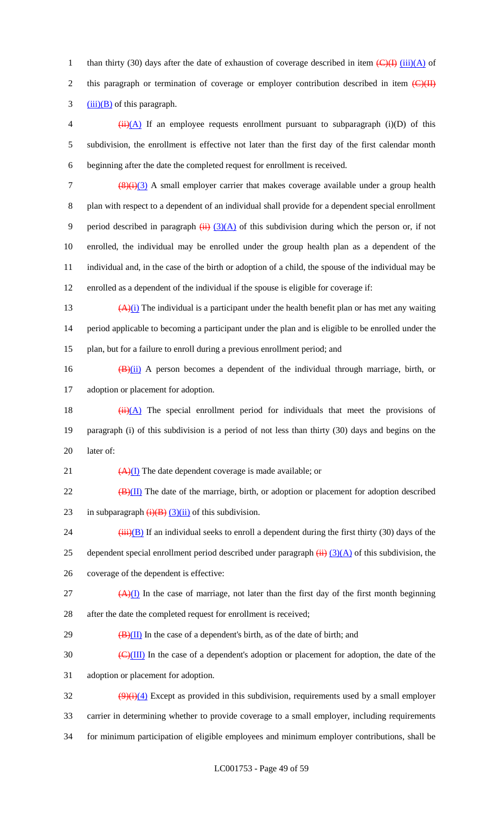1 than thirty (30) days after the date of exhaustion of coverage described in item  $\left(\frac{C}{H}\right)$  (iii)(A) of 2 this paragraph or termination of coverage or employer contribution described in item  $\left(\frac{C}{H}\right)$  $3 \frac{(iii)(B)}{c}$  of this paragraph.

4  $(iii)(A)$  If an employee requests enrollment pursuant to subparagraph (i)(D) of this 5 subdivision, the enrollment is effective not later than the first day of the first calendar month 6 beginning after the date the completed request for enrollment is received.

 $\frac{(8)(i)(3)}{2}$  A small employer carrier that makes coverage available under a group health plan with respect to a dependent of an individual shall provide for a dependent special enrollment 9 period described in paragraph  $(ii)$   $(3)(A)$  of this subdivision during which the person or, if not enrolled, the individual may be enrolled under the group health plan as a dependent of the individual and, in the case of the birth or adoption of a child, the spouse of the individual may be enrolled as a dependent of the individual if the spouse is eligible for coverage if:

13  $(A)(i)$  The individual is a participant under the health benefit plan or has met any waiting 14 period applicable to becoming a participant under the plan and is eligible to be enrolled under the 15 plan, but for a failure to enroll during a previous enrollment period; and

16  $(B)(ii)$  A person becomes a dependent of the individual through marriage, birth, or 17 adoption or placement for adoption.

18  $(ii)(A)$  The special enrollment period for individuals that meet the provisions of 19 paragraph (i) of this subdivision is a period of not less than thirty (30) days and begins on the 20 later of:

21  $\left(\frac{A}{I}\right)$  The date dependent coverage is made available; or

 $22$  (B)(II) The date of the marriage, birth, or adoption or placement for adoption described 23 in subparagraph  $\overline{(i)(B)}$  (3)(ii) of this subdivision.

24  $(iii)(B)$  If an individual seeks to enroll a dependent during the first thirty (30) days of the 25 dependent special enrollment period described under paragraph  $\overline{(ii)}$   $\overline{(3)(A)}$  of this subdivision, the 26 coverage of the dependent is effective:

 $(4)$ (I) In the case of marriage, not later than the first day of the first month beginning 28 after the date the completed request for enrollment is received;

29  $\left(\frac{B}{II}\right)$  In the case of a dependent's birth, as of the date of birth; and

 $\frac{1}{20}$  (C)(III) In the case of a dependent's adoption or placement for adoption, the date of the 31 adoption or placement for adoption.

 $\frac{(9)(i)(4)}{2}$  Except as provided in this subdivision, requirements used by a small employer 33 carrier in determining whether to provide coverage to a small employer, including requirements 34 for minimum participation of eligible employees and minimum employer contributions, shall be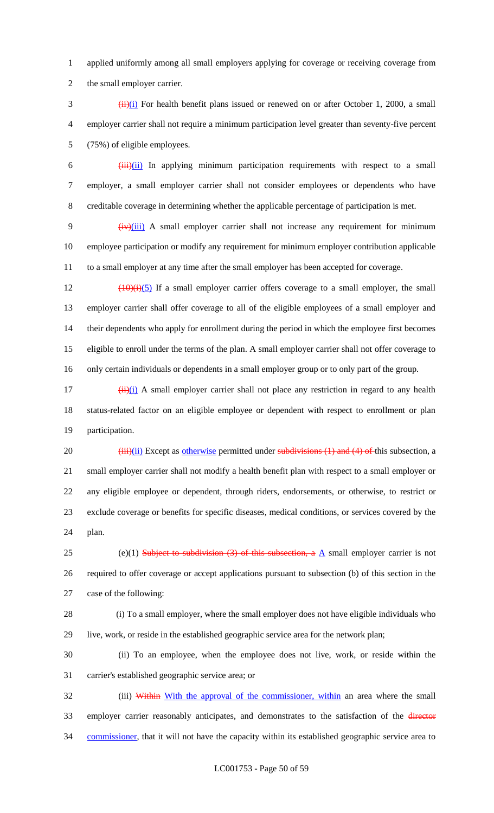applied uniformly among all small employers applying for coverage or receiving coverage from the small employer carrier.

 $\frac{(\mathbf{i} \cdot \mathbf{i}) (\mathbf{i})}{(\mathbf{i} \cdot \mathbf{j})}$  For health benefit plans issued or renewed on or after October 1, 2000, a small employer carrier shall not require a minimum participation level greater than seventy-five percent (75%) of eligible employees.

 $\frac{1}{1}$   $\frac{1}{1}$   $\frac{1}{1}$  In applying minimum participation requirements with respect to a small employer, a small employer carrier shall not consider employees or dependents who have creditable coverage in determining whether the applicable percentage of participation is met.

9 (iv)(iii) A small employer carrier shall not increase any requirement for minimum employee participation or modify any requirement for minimum employer contribution applicable to a small employer at any time after the small employer has been accepted for coverage.

 $\left(\frac{10}{10}\right)$  (10)(i)(5) If a small employer carrier offers coverage to a small employer, the small employer carrier shall offer coverage to all of the eligible employees of a small employer and their dependents who apply for enrollment during the period in which the employee first becomes eligible to enroll under the terms of the plan. A small employer carrier shall not offer coverage to only certain individuals or dependents in a small employer group or to only part of the group.

 $\frac{17}{17}$  (ii)(i) A small employer carrier shall not place any restriction in regard to any health status-related factor on an eligible employee or dependent with respect to enrollment or plan participation.

 $(iii)(ii)$  Except as otherwise permitted under subdivisions (1) and (4) of this subsection, a small employer carrier shall not modify a health benefit plan with respect to a small employer or any eligible employee or dependent, through riders, endorsements, or otherwise, to restrict or exclude coverage or benefits for specific diseases, medical conditions, or services covered by the plan.

25 (e)(1) Subject to subdivision (3) of this subsection, a  $\underline{A}$  small employer carrier is not required to offer coverage or accept applications pursuant to subsection (b) of this section in the case of the following:

 (i) To a small employer, where the small employer does not have eligible individuals who live, work, or reside in the established geographic service area for the network plan;

 (ii) To an employee, when the employee does not live, work, or reside within the carrier's established geographic service area; or

32 (iii) Within With the approval of the commissioner, within an area where the small 33 employer carrier reasonably anticipates, and demonstrates to the satisfaction of the director 34 commissioner, that it will not have the capacity within its established geographic service area to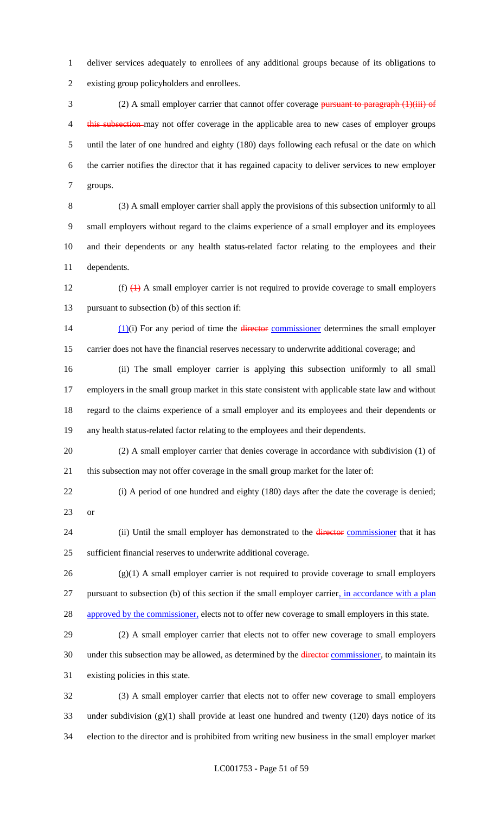deliver services adequately to enrollees of any additional groups because of its obligations to existing group policyholders and enrollees.

3 (2) A small employer carrier that cannot offer coverage pursuant to paragraph (1)(iii) of 4 this subsection may not offer coverage in the applicable area to new cases of employer groups until the later of one hundred and eighty (180) days following each refusal or the date on which the carrier notifies the director that it has regained capacity to deliver services to new employer groups.

 (3) A small employer carrier shall apply the provisions of this subsection uniformly to all small employers without regard to the claims experience of a small employer and its employees and their dependents or any health status-related factor relating to the employees and their dependents.

12 (f)  $\leftrightarrow$  A small employer carrier is not required to provide coverage to small employers pursuant to subsection (b) of this section if:

14  $(1)(i)$  For any period of time the director commissioner determines the small employer carrier does not have the financial reserves necessary to underwrite additional coverage; and

 (ii) The small employer carrier is applying this subsection uniformly to all small employers in the small group market in this state consistent with applicable state law and without regard to the claims experience of a small employer and its employees and their dependents or any health status-related factor relating to the employees and their dependents.

 (2) A small employer carrier that denies coverage in accordance with subdivision (1) of this subsection may not offer coverage in the small group market for the later of:

 (i) A period of one hundred and eighty (180) days after the date the coverage is denied; or

24 (ii) Until the small employer has demonstrated to the *director* commissioner that it has sufficient financial reserves to underwrite additional coverage.

 (g)(1) A small employer carrier is not required to provide coverage to small employers pursuant to subsection (b) of this section if the small employer carrier, in accordance with a plan 28 approved by the commissioner, elects not to offer new coverage to small employers in this state.

 (2) A small employer carrier that elects not to offer new coverage to small employers 30 under this subsection may be allowed, as determined by the director commissioner, to maintain its existing policies in this state.

 (3) A small employer carrier that elects not to offer new coverage to small employers under subdivision (g)(1) shall provide at least one hundred and twenty (120) days notice of its election to the director and is prohibited from writing new business in the small employer market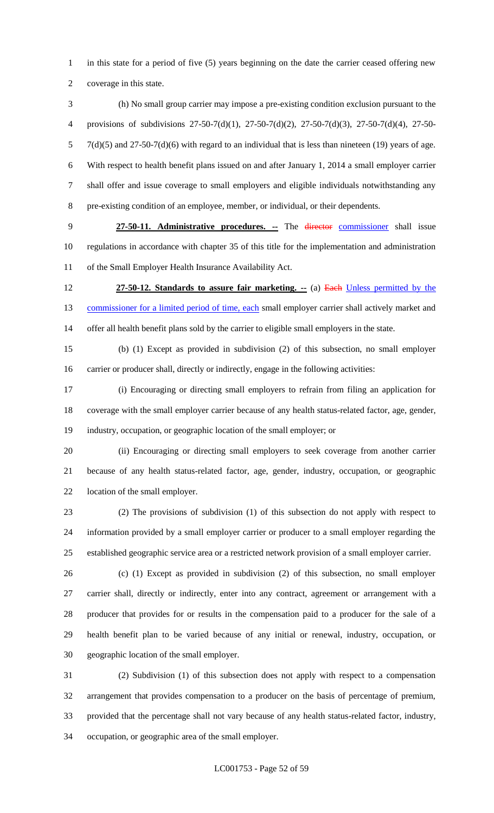1 in this state for a period of five (5) years beginning on the date the carrier ceased offering new coverage in this state.

 (h) No small group carrier may impose a pre-existing condition exclusion pursuant to the provisions of subdivisions 27-50-7(d)(1), 27-50-7(d)(2), 27-50-7(d)(3), 27-50-7(d)(4), 27-50- 7(d)(5) and 27-50-7(d)(6) with regard to an individual that is less than nineteen (19) years of age. With respect to health benefit plans issued on and after January 1, 2014 a small employer carrier shall offer and issue coverage to small employers and eligible individuals notwithstanding any pre-existing condition of an employee, member, or individual, or their dependents.

 **27-50-11. Administrative procedures. --** The director commissioner shall issue regulations in accordance with chapter 35 of this title for the implementation and administration of the Small Employer Health Insurance Availability Act.

 **27-50-12. Standards to assure fair marketing. --** (a) Each Unless permitted by the 13 commissioner for a limited period of time, each small employer carrier shall actively market and offer all health benefit plans sold by the carrier to eligible small employers in the state.

 (b) (1) Except as provided in subdivision (2) of this subsection, no small employer carrier or producer shall, directly or indirectly, engage in the following activities:

 (i) Encouraging or directing small employers to refrain from filing an application for coverage with the small employer carrier because of any health status-related factor, age, gender, industry, occupation, or geographic location of the small employer; or

 (ii) Encouraging or directing small employers to seek coverage from another carrier because of any health status-related factor, age, gender, industry, occupation, or geographic location of the small employer.

 (2) The provisions of subdivision (1) of this subsection do not apply with respect to information provided by a small employer carrier or producer to a small employer regarding the established geographic service area or a restricted network provision of a small employer carrier.

 (c) (1) Except as provided in subdivision (2) of this subsection, no small employer carrier shall, directly or indirectly, enter into any contract, agreement or arrangement with a producer that provides for or results in the compensation paid to a producer for the sale of a health benefit plan to be varied because of any initial or renewal, industry, occupation, or geographic location of the small employer.

 (2) Subdivision (1) of this subsection does not apply with respect to a compensation arrangement that provides compensation to a producer on the basis of percentage of premium, provided that the percentage shall not vary because of any health status-related factor, industry, occupation, or geographic area of the small employer.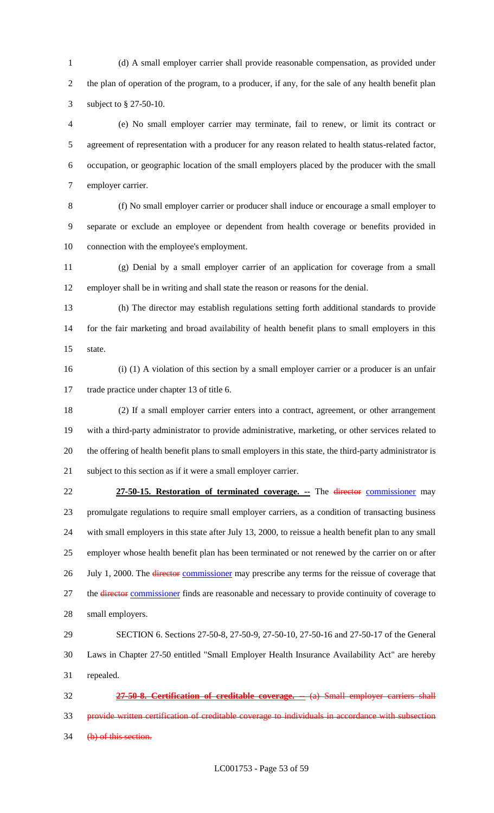(d) A small employer carrier shall provide reasonable compensation, as provided under the plan of operation of the program, to a producer, if any, for the sale of any health benefit plan subject to § 27-50-10.

 (e) No small employer carrier may terminate, fail to renew, or limit its contract or agreement of representation with a producer for any reason related to health status-related factor, occupation, or geographic location of the small employers placed by the producer with the small employer carrier.

 (f) No small employer carrier or producer shall induce or encourage a small employer to separate or exclude an employee or dependent from health coverage or benefits provided in 10 connection with the employee's employment.

 (g) Denial by a small employer carrier of an application for coverage from a small employer shall be in writing and shall state the reason or reasons for the denial.

 (h) The director may establish regulations setting forth additional standards to provide for the fair marketing and broad availability of health benefit plans to small employers in this state.

 (i) (1) A violation of this section by a small employer carrier or a producer is an unfair trade practice under chapter 13 of title 6.

 (2) If a small employer carrier enters into a contract, agreement, or other arrangement with a third-party administrator to provide administrative, marketing, or other services related to the offering of health benefit plans to small employers in this state, the third-party administrator is subject to this section as if it were a small employer carrier.

 **27-50-15. Restoration of terminated coverage. --** The director commissioner may promulgate regulations to require small employer carriers, as a condition of transacting business with small employers in this state after July 13, 2000, to reissue a health benefit plan to any small employer whose health benefit plan has been terminated or not renewed by the carrier on or after 26 July 1, 2000. The director commissioner may prescribe any terms for the reissue of coverage that 27 the director commissioner finds are reasonable and necessary to provide continuity of coverage to small employers.

 SECTION 6. Sections 27-50-8, 27-50-9, 27-50-10, 27-50-16 and 27-50-17 of the General Laws in Chapter 27-50 entitled "Small Employer Health Insurance Availability Act" are hereby repealed.

 **27-50-8. Certification of creditable coverage. --** (a) Small employer carriers shall provide written certification of creditable coverage to individuals in accordance with subsection 34 (b) of this section.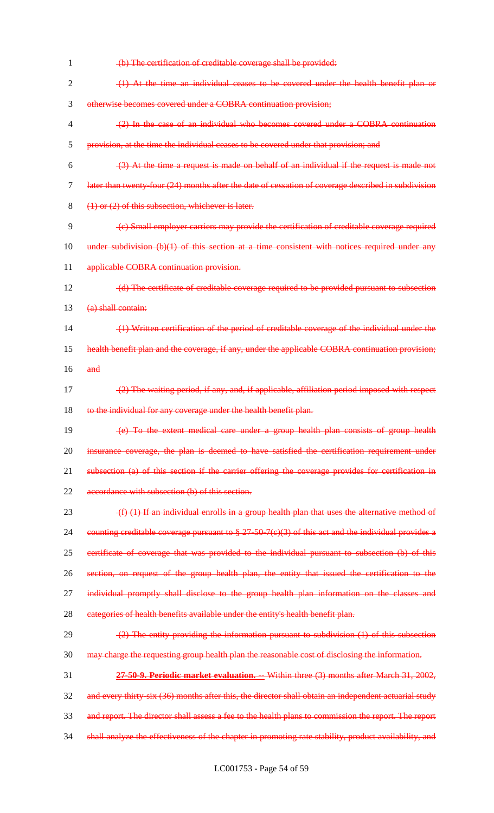(b) The certification of creditable coverage shall be provided: (1) At the time an individual ceases to be covered under the health benefit plan or otherwise becomes covered under a COBRA continuation provision; (2) In the case of an individual who becomes covered under a COBRA continuation provision, at the time the individual ceases to be covered under that provision; and  $(3)$  At the time a request is made on behalf of an individual if the request is made not later than twenty-four (24) months after the date of cessation of coverage described in subdivision (1) or (2) of this subsection, whichever is later. (c) Small employer carriers may provide the certification of creditable coverage required 10 under subdivision (b)(1) of this section at a time consistent with notices required under any 11 applicable COBRA continuation provision. 12 (d) The certificate of creditable coverage required to be provided pursuant to subsection 13 (a) shall contain: (1) Written certification of the period of creditable coverage of the individual under the health benefit plan and the coverage, if any, under the applicable COBRA continuation provision;  $16$  and (2) The waiting period, if any, and, if applicable, affiliation period imposed with respect 18 to the individual for any coverage under the health benefit plan. (e) To the extent medical care under a group health plan consists of group health 20 insurance coverage, the plan is deemed to have satisfied the certification requirement under subsection (a) of this section if the carrier offering the coverage provides for certification in 22 accordance with subsection (b) of this section.  $(f)$  (1) If an individual enrolls in a group health plan that uses the alternative method of counting creditable coverage pursuant to § 27-50-7(c)(3) of this act and the individual provides a certificate of coverage that was provided to the individual pursuant to subsection (b) of this section, on request of the group health plan, the entity that issued the certification to the 27 individual promptly shall disclose to the group health plan information on the classes and 28 categories of health benefits available under the entity's health benefit plan.  $(2)$  The entity providing the information pursuant to subdivision  $(1)$  of this subsection may charge the requesting group health plan the reasonable cost of disclosing the information. **27-50-9. Periodic market evaluation. --** Within three (3) months after March 31, 2002, 32 and every thirty-six (36) months after this, the director shall obtain an independent actuarial study and report. The director shall assess a fee to the health plans to commission the report. The report 34 shall analyze the effectiveness of the chapter in promoting rate stability, product availability, and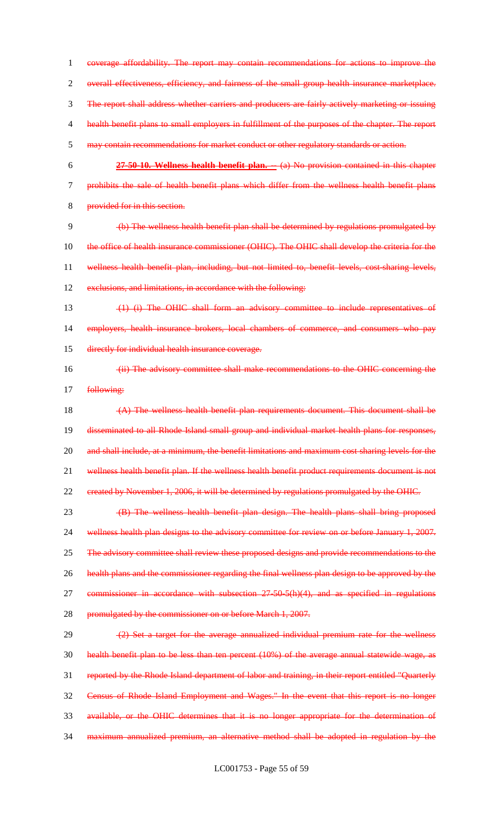coverage affordability. The report may contain recommendations for actions to improve the overall effectiveness, efficiency, and fairness of the small group health insurance marketplace. The report shall address whether carriers and producers are fairly actively marketing or issuing health benefit plans to small employers in fulfillment of the purposes of the chapter. The report may contain recommendations for market conduct or other regulatory standards or action. **27-50-10. Wellness health benefit plan. --** (a) No provision contained in this chapter prohibits the sale of health benefit plans which differ from the wellness health benefit plans provided for in this section. (b) The wellness health benefit plan shall be determined by regulations promulgated by 10 the office of health insurance commissioner (OHIC). The OHIC shall develop the criteria for the wellness health benefit plan, including, but not limited to, benefit levels, cost-sharing levels, 12 exclusions, and limitations, in accordance with the following: (1) (i) The OHIC shall form an advisory committee to include representatives of employers, health insurance brokers, local chambers of commerce, and consumers who pay directly for individual health insurance coverage. (ii) The advisory committee shall make recommendations to the OHIC concerning the 17 following: (A) The wellness health benefit plan requirements document. This document shall be 19 disseminated to all Rhode Island small group and individual market health plans for responses, 20 and shall include, at a minimum, the benefit limitations and maximum cost sharing levels for the 21 wellness health benefit plan. If the wellness health benefit product requirements document is not created by November 1, 2006, it will be determined by regulations promulgated by the OHIC. (B) The wellness health benefit plan design. The health plans shall bring proposed 24 wellness health plan designs to the advisory committee for review on or before January 1, 2007. 25 The advisory committee shall review these proposed designs and provide recommendations to the

health plans and the commissioner regarding the final wellness plan design to be approved by the

27 commissioner in accordance with subsection 27-50-5(h)(4), and as specified in regulations

28 promulgated by the commissioner on or before March 1, 2007.

29 (2) Set a target for the average annualized individual premium rate for the wellness health benefit plan to be less than ten percent (10%) of the average annual statewide wage, as reported by the Rhode Island department of labor and training, in their report entitled "Quarterly Census of Rhode Island Employment and Wages." In the event that this report is no longer available, or the OHIC determines that it is no longer appropriate for the determination of maximum annualized premium, an alternative method shall be adopted in regulation by the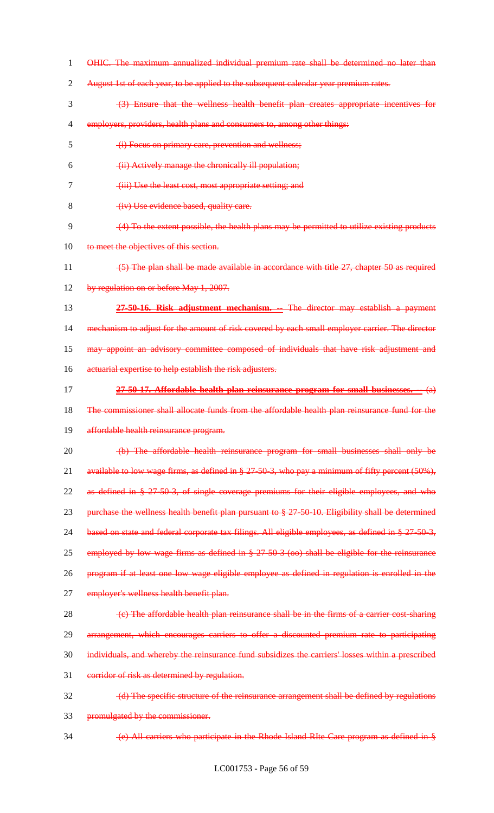OHIC. The maximum annualized individual premium rate shall be determined no later than 2 August 1st of each year, to be applied to the subsequent calendar year premium rates. (3) Ensure that the wellness health benefit plan creates appropriate incentives for 4 employers, providers, health plans and consumers to, among other things: (i) Focus on primary care, prevention and wellness; (ii) Actively manage the chronically ill population; (iii) Use the least cost, most appropriate setting; and 8 (iv) Use evidence based, quality care. (4) To the extent possible, the health plans may be permitted to utilize existing products 10 to meet the objectives of this section. (5) The plan shall be made available in accordance with title 27, chapter 50 as required 12 by regulation on or before May 1, 2007. **27-50-16. Risk adjustment mechanism. --** The director may establish a payment 14 mechanism to adjust for the amount of risk covered by each small employer carrier. The director may appoint an advisory committee composed of individuals that have risk adjustment and 16 actuarial expertise to help establish the risk adjusters. **27-50-17. Affordable health plan reinsurance program for small businesses. --** (a) The commissioner shall allocate funds from the affordable health plan reinsurance fund for the 19 affordable health reinsurance program. (b) The affordable health reinsurance program for small businesses shall only be available to low wage firms, as defined in § 27-50-3, who pay a minimum of fifty percent (50%), as defined in § 27-50-3, of single coverage premiums for their eligible employees, and who 23 purchase the wellness health benefit plan pursuant to § 27-50-10. Eligibility shall be determined 24 based on state and federal corporate tax filings. All eligible employees, as defined in § 27-50-3, 25 employed by low wage firms as defined in § 27-50-3 (oo) shall be eligible for the reinsurance program if at least one low wage eligible employee as defined in regulation is enrolled in the 27 employer's wellness health benefit plan.  $\left\langle \epsilon \right\rangle$  The affordable health plan reinsurance shall be in the firms of a carrier cost-sharing arrangement, which encourages carriers to offer a discounted premium rate to participating individuals, and whereby the reinsurance fund subsidizes the carriers' losses within a prescribed 31 corridor of risk as determined by regulation. (d) The specific structure of the reinsurance arrangement shall be defined by regulations promulgated by the commissioner. (e) All carriers who participate in the Rhode Island RIte Care program as defined in §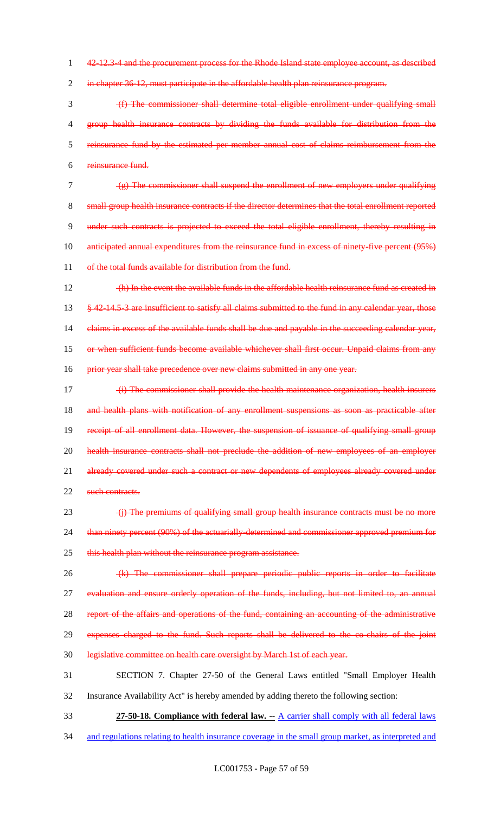1 42-12.3-4 and the procurement process for the Rhode Island state employee account, as described

2 in chapter 36-12, must participate in the affordable health plan reinsurance program.

 (f) The commissioner shall determine total eligible enrollment under qualifying small 4 group health insurance contracts by dividing the funds available for distribution from the reinsurance fund by the estimated per member annual cost of claims reimbursement from the reinsurance fund.

7 (g) The commissioner shall suspend the enrollment of new employers under qualifying 8 small group health insurance contracts if the director determines that the total enrollment reported 9 under such contracts is projected to exceed the total eligible enrollment, thereby resulting in 10 anticipated annual expenditures from the reinsurance fund in excess of ninety-five percent (95%) 11 of the total funds available for distribution from the fund.

12 (h) In the event the available funds in the affordable health reinsurance fund as created in 13 § 42-14.5-3 are insufficient to satisfy all claims submitted to the fund in any calendar year, those 14 claims in excess of the available funds shall be due and payable in the succeeding calendar year, 15 or when sufficient funds become available whichever shall first occur. Unpaid claims from any 16 prior year shall take precedence over new claims submitted in any one year.

17 (i) The commissioner shall provide the health maintenance organization, health insurers 18 and health plans with notification of any enrollment suspensions as soon as practicable after 19 receipt of all enrollment data. However, the suspension of issuance of qualifying small group 20 health insurance contracts shall not preclude the addition of new employees of an employer 21 already covered under such a contract or new dependents of employees already covered under 22 such contracts.

23 (i) The premiums of qualifying small group health insurance contracts must be no more 24 than ninety percent (90%) of the actuarially-determined and commissioner approved premium for 25 this health plan without the reinsurance program assistance.

26 (k) The commissioner shall prepare periodic public reports in order to facilitate 27 evaluation and ensure orderly operation of the funds, including, but not limited to, an annual 28 report of the affairs and operations of the fund, containing an accounting of the administrative

29 expenses charged to the fund. Such reports shall be delivered to the co-chairs of the joint

30 legislative committee on health care oversight by March 1st of each year.

31 SECTION 7. Chapter 27-50 of the General Laws entitled "Small Employer Health

- 32 Insurance Availability Act" is hereby amended by adding thereto the following section:
- 33 **27-50-18. Compliance with federal law. --** A carrier shall comply with all federal laws
- 34 and regulations relating to health insurance coverage in the small group market, as interpreted and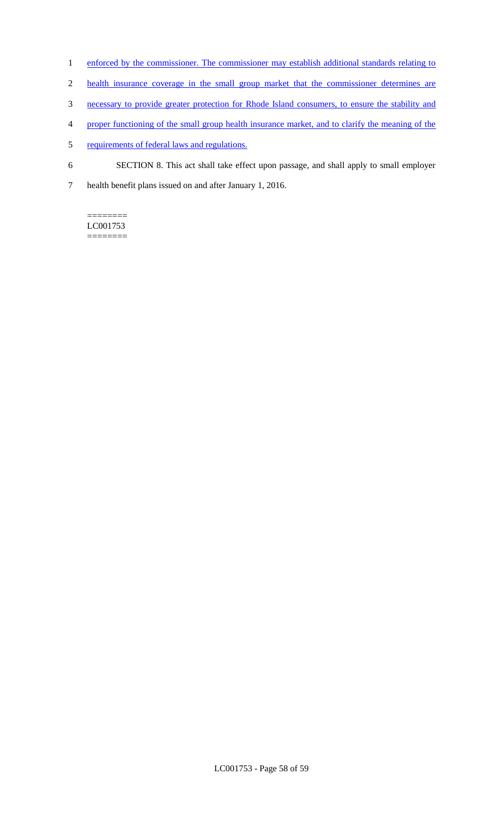- 1 enforced by the commissioner. The commissioner may establish additional standards relating to
- 2 health insurance coverage in the small group market that the commissioner determines are
- 3 necessary to provide greater protection for Rhode Island consumers, to ensure the stability and
- 4 proper functioning of the small group health insurance market, and to clarify the meaning of the
- 5 requirements of federal laws and regulations.
- 6 SECTION 8. This act shall take effect upon passage, and shall apply to small employer
- 7 health benefit plans issued on and after January 1, 2016.

======== LC001753 ========